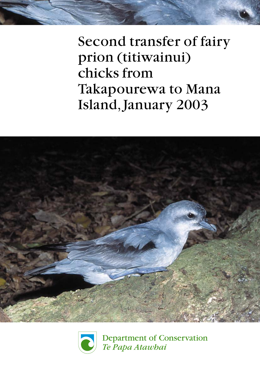





**Department of Conservation** Te Papa Atawbai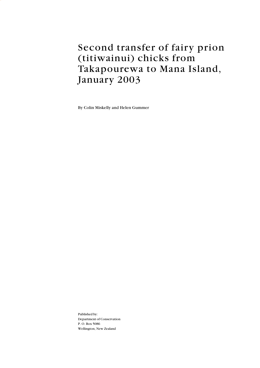## Second transfer of fairy prion (titiwainui) chicks from Takapourewa to Mana Island, January 2003

By Colin Miskelly and Helen Gummer

Published by: Department of Conservation P. O. Box 5086 Wellington, New Zealand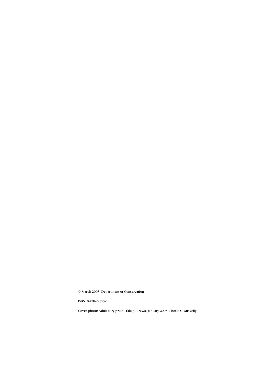© March 2003, Department of Conservation

ISBN: 0-478-22395-1

Cover photo: Adult fairy prion, Takapourewa, January 2003. Photo: C. Miskelly.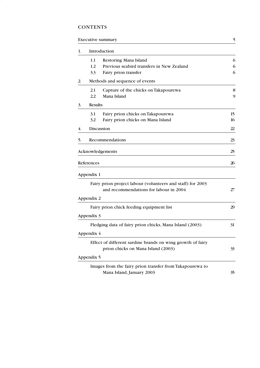## CONTENTS

### Executive summary 5

| 1. |                | Introduction                                               |    |
|----|----------------|------------------------------------------------------------|----|
|    | $1.1\,$        | Restoring Mana Island                                      | 6  |
|    | 1.2            | Previous seabird transfers in New Zealand                  | 6  |
|    | 3.3            | Fairy prion transfer                                       | 6  |
| 2. |                | Methods and sequence of events                             |    |
|    | 2.1            | Capture of the chicks on Takapourewa                       | 8  |
|    | 2.2            | Mana Island                                                | 9  |
| 3. | <b>Results</b> |                                                            |    |
|    | 3.1            | Fairy prion chicks on Takapourewa                          | 15 |
|    | 3.2            | Fairy prion chicks on Mana Island                          | 16 |
| 4. |                | Discussion                                                 | 22 |
| 5. |                | Recommendations                                            | 23 |
|    |                | Acknowledgements                                           | 25 |
|    | References     |                                                            | 26 |
|    | Appendix 1     |                                                            |    |
|    |                | Fairy prion project labour (volunteers and staff) for 2003 |    |
|    |                | and recommendations for labour in 2004                     | 27 |
|    | Appendix 2     |                                                            |    |
|    |                | Fairy prion chick feeding equipment list                   | 29 |
|    | Appendix 3     |                                                            |    |
|    |                | Fledging data of fairy prion chicks, Mana Island (2003)    | 31 |
|    | Appendix 4     |                                                            |    |
|    |                | Effect of different sardine brands on wing growth of fairy |    |
|    | Appendix 5     | prion chicks on Mana Island (2003)                         | 33 |
|    |                | Images from the fairy prion transfer from Takapourewa to   |    |
|    |                | Mana Island, January 2003                                  | 35 |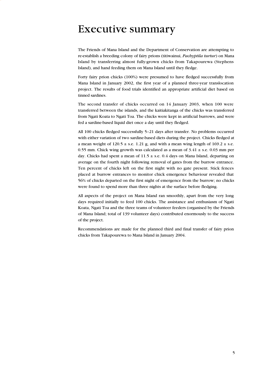## <span id="page-5-0"></span>Executive summary

The Friends of Mana Island and the Department of Conservation are attempting to re-establish a breeding colony of fairy prions (titiwainui, *Pachyptila turtur*) on Mana Island by transferring almost fully-grown chicks from Takapourewa (Stephens Island), and hand feeding them on Mana Island until they fledge.

Forty fairy prion chicks (100%) were presumed to have fledged successfully from Mana Island in January 2002, the first year of a planned three-year translocation project. The results of food trials identified an appropriate artificial diet based on tinned sardines.

The second transfer of chicks occurred on 14 January 2003, when 100 were transferred between the islands, and the kaitiakitanga of the chicks was transferred from Ngati Koata to Ngati Toa. The chicks were kept in artificial burrows, and were fed a sardine-based liquid diet once a day until they fledged.

All 100 chicks fledged successfully 5–21 days after transfer. No problems occurred with either variation of two sardine-based diets during the project. Chicks fledged at a mean weight of  $120.5 \pm$  s.e. 1.21 g, and with a mean wing length of  $169.2 \pm$  s.e. 0.55 mm. Chick wing growth was calculated as a mean of  $3.41 \pm$  s.e. 0.03 mm per day. Chicks had spent a mean of  $11.5 \pm$  s.e. 0.4 days on Mana Island, departing on average on the fourth night following removal of gates from the burrow entrance. Ten percent of chicks left on the first night with no gate present. Stick fences placed at burrow entrances to monitor chick emergence behaviour revealed that 56% of chicks departed on the first night of emergence from the burrow; no chicks were found to spend more than three nights at the surface before fledging.

All aspects of the project on Mana Island ran smoothly, apart from the very long days required initially to feed 100 chicks. The assistance and enthusiasm of Ngati Koata, Ngati Toa and the three teams of volunteer feeders (organised by the Friends of Mana Island; total of 139 volunteer days) contributed enormously to the success of the project.

Recommendations are made for the planned third and final transfer of fairy prion chicks from Takapourewa to Mana Island in January 2004.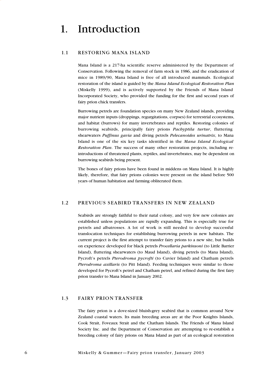## <span id="page-6-0"></span>1. Introduction

### 1.1 RESTORING MANA ISLAND

Mana Island is a 217-ha scientific reserve administered by the Department of Conservation. Following the removal of farm stock in 1986, and the eradication of mice in 1989/90, Mana Island is free of all introduced mammals. Ecological restoration of the island is guided by the *Mana Island Ecological Restoration Plan* (Miskelly 1999), and is actively supported by the Friends of Mana Island Incorporated Society, who provided the funding for the first and second years of fairy prion chick transfers.

Burrowing petrels are foundation species on many New Zealand islands, providing major nutrient inputs (droppings, regurgitations, corpses) for terrestrial ecosystems, and habitat (burrows) for many invertebrates and reptiles. Restoring colonies of burrowing seabirds, principally fairy prions *Pachyptila turtur*, fluttering shearwaters *Puffinus gavia* and diving petrels *Pelecanoides urinatrix*, to Mana Island is one of the six key tasks identified in the *Mana Island Ecological Restoration Plan*. The success of many other restoration projects, including reintroductions of threatened plants, reptiles, and invertebrates, may be dependent on burrowing seabirds being present.

The bones of fairy prions have been found in middens on Mana Island. It is highly likely, therefore, that fairy prions colonies were present on the island before 500 years of human habitation and farming obliterated them.

### 1.2 PREVIOUS SEABIRD TRANSFERS IN NEW ZEALAND

Seabirds are strongly faithful to their natal colony, and very few new colonies are established unless populations are rapidly expanding. This is especially true for petrels and albatrosses. A lot of work is still needed to develop successful translocation techniques for establishing burrowing petrels in new habitats. The current project is the first attempt to transfer fairy prions to a new site, but builds on experience developed for black petrels *Procellaria parkinsoni* (to Little Barrier Island), fluttering shearwaters (to Maud Island), diving petrels (to Mana Island), Pycroft's petrels *Pterodroma pycrofti* (to Cuvier Island) and Chatham petrels *Pterodroma axillaris* (to Pitt Island). Feeding techniques were similar to those developed for Pycroft's petrel and Chatham petrel, and refined during the first fairy prion transfer to Mana Island in January 2002.

#### 1.3 FAIRY PRION TRANSFER

The fairy prion is a dove-sized bluish-grey seabird that is common around New Zealand coastal waters. Its main breeding areas are at the Poor Knights Islands, Cook Strait, Foveaux Strait and the Chatham Islands. The Friends of Mana Island Society Inc. and the Department of Conservation are attempting to re-establish a breeding colony of fairy prions on Mana Island as part of an ecological restoration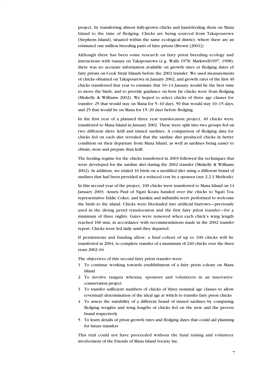project, by transferring almost fully-grown chicks and hand-feeding them on Mana Island to the time of fledging. Chicks are being sourced from Takapourewa (Stephens Island), situated within the same ecological district, where there are an estimated one million breeding pairs of fairy prions (Brown [2001]).

Although there has been some research on fairy prion breeding ecology and interactions with tuatara on Takapourewa (e.g. Walls 1978; Markwell1997, 1998), there was no accurate information available on growth rates or fledging dates of fairy prions on Cook Strait Islands before the 2002 transfer. We used measurements of chicks obtained on Takapourewa in January 2002, and growth rates of the first 40 chicks transferred that year to estimate that 10–14 January would be the best time to move the birds, and to provide guidance on how far chicks were from fledging (Miskelly & Williams 2002). We hoped to select chicks of three age classes for transfer: 25 that would stay on Mana for 5–10 days, 50 that would stay 10–15 days, and 25 that would be on Mana for 15–20 days before fledging.

In the first year of a planned three year translocation project, 40 chicks were transferred to Mana Island in January 2002. These were split into two groups fed on two different diets: krill and tinned sardines. A comparison of fledging data for chicks fed on each diet revealed that the sardine diet produced chicks in better condition on their departure from Mana Island, as well as sardines being easier to obtain, store and prepare than krill.

The feeding regime for the chicks transferred in 2003 followed the techniques that were developed for the sardine diet during the 2002 transfer (Miskelly & Williams 2002). In addition, we trialed 16 birds on a modified diet using a different brand of sardines that had been provided at a reduced cost by a sponsor (see 2.2.3 Methods).

In this second year of the project, 100 chicks were transferred to Mana Island on 14 January 2003. Anuru Paul of Ngati Koata handed over the chicks to Ngati Toa representative Eddie Coker, and karakia and mihimihi were performed to welcome the birds to the island. Chicks were blockaded into artificial burrows—previously used in the diving petrel translocation and the first fairy prion transfer—for a minimum of three nights. Gates were removed when each chick's wing length reached 160 mm, in accordance with recommendations made in the 2002 transfer report. Chicks were fed daily until they departed.

If permissions and funding allow, a final cohort of up to 100 chicks will be transferred in 2004, to complete transfer of a maximum of 240 chicks over the three years 2002–04.

The objectives of this second fairy prion transfer were:

- 1 To continue working towards establishment of a fairy prion colony on Mana Island
- 2 To involve tangata whenua, sponsors and volunteers in an innovative conservation project
- 3 To transfer sufficient numbers of chicks of three nominal age classes to allow (eventual) determination of the ideal age at which to transfer fairy prion chicks
- 4 To assess the suitability of a different brand of tinned sardines by comparing fledging weights and wing lengths of chicks fed on the new and the proven brand respectively
- 5 To learn details of prion growth rates and fledging dates that could aid planning for future transfers

This trial could not have proceeded without the fund raising and volunteer involvement of the Friends of Mana Island Society Inc.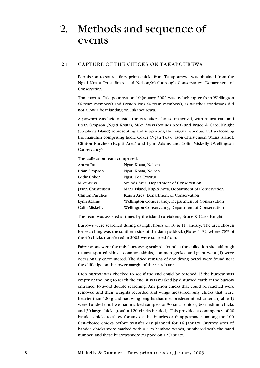## <span id="page-8-0"></span>2. Methods and sequence of events

#### 2.1 CAPTURE OF THE CHICKS ON TAKAPOUREWA

Permission to source fairy prion chicks from Takapourewa was obtained from the Ngati Koata Trust Board and Nelson/Marlborough Conservancy, Department of Conservation.

Transport to Takapourewa on 10 January 2002 was by helicopter from Wellington (4 team members) and French Pass (4 team members), as weather conditions did not allow a boat landing on Takapourewa.

A powhiri was held outside the caretakers' house on arrival, with Anuru Paul and Brian Simpson (Ngati Koata), Mike Aviss (Sounds Area) and Bruce & Carol Knight (Stephens Island) representing and supporting the tangata whenua, and welcoming the manuhiri comprising Eddie Coker (Ngati Toa), Jason Christensen (Mana Island), Clinton Purches (Kapiti Area) and Lynn Adams and Colin Miskelly (Wellington Conservancy).

The collection team comprised:

| Anuru Paul               | Ngati Koata, Nelson                                  |
|--------------------------|------------------------------------------------------|
| Brian Simpson            | Ngati Koata, Nelson                                  |
| Eddie Coker              | Ngati Toa, Porirua                                   |
| <b>Mike Aviss</b>        | Sounds Area, Department of Conservation              |
| <b>Jason Christensen</b> | Mana Island, Kapiti Area, Department of Conservation |
| <b>Clinton Purches</b>   | Kapiti Area, Department of Conservation              |
| Lynn Adams               | Wellington Conservancy, Department of Conservation   |
| Colin Miskelly           | Wellington Conservancy, Department of Conservation   |
|                          |                                                      |

The team was assisted at times by the island caretakers, Bruce & Carol Knight.

Burrows were searched during daylight hours on 10 & 11 January. The area chosen for searching was the southern side of the dam paddock (Plates 1–3), where 78% of the 40 chicks transferred in 2002 were sourced from.

Fairy prions were the only burrowing seabirds found at the collection site, although tuatara, spotted skinks, common skinks, common geckos and giant weta (1) were occasionally encountered. The dried remains of one diving petrel were found near the cliff edge on the lower margin of the search area.

Each burrow was checked to see if the end could be reached. If the burrow was empty or too long to reach the end, it was marked by disturbed earth at the burrow entrance, to avoid double searching. Any prion chicks that could be reached were removed and their weights recorded and wings measured. Any chicks that were heavier than 120 g and had wing lengths that met predetermined criteria (Table 1) were banded until we had marked samples of 30 small chicks, 60 medium chicks and 30 large chicks (total = 120 chicks banded). This provided a contingency of 20 banded chicks to allow for any deaths, injuries or disappearances among the 100 first-choice chicks before transfer day planned for 14 January. Burrow sites of banded chicks were marked with 0.4 m bamboo wands, numbered with the band number, and these burrows were mapped on 12 January.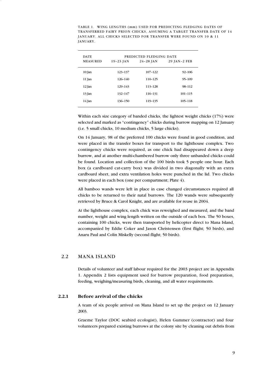<span id="page-9-0"></span>TABLE 1. WING LENGTHS (mm) USED FOR PREDICTING FLEDGING DATES OF TRANSFERRED FAIRY PRION CHICKS, ASSUMING A TARGET TRANSFER DATE OF 14 JANUARY. ALL CHICKS SELECTED FOR TRANSFER WERE FOUND ON 10 & 11 JANUARY.

| <b>DATE</b>     |             | PREDICTED FLEDGING DATE |              |
|-----------------|-------------|-------------------------|--------------|
| <b>MEASURED</b> | 19-23 JAN   | $24 - 28$ JAN           | 29 JAN-2 FEB |
| 10 Jan          | 123-137     | 107-122                 | $92 - 106$   |
| 11 Jan          | $126 - 140$ | 110-125                 | $95 - 109$   |
| 12 Jan          | 129-143     | 113-128                 | 98-112       |
| 13 Jan          | 132-147     | 116-131                 | $101 - 115$  |
| 14 Jan          | 136-150     | 119-135                 | 105-118      |
|                 |             |                         |              |

Within each size category of banded chicks, the lightest weight chicks (17%) were selected and marked as "contingency" chicks during burrow mapping on 12 January (i.e. 5 small chicks, 10 medium chicks, 5 large chicks).

On 14 January, 98 of the preferred 100 chicks were found in good condition, and were placed in the transfer boxes for transport to the lighthouse complex. Two contingency chicks were required, as one chick had disappeared down a deep burrow, and at another multi-chambered burrow only three unbanded chicks could be found. Location and collection of the 100 birds took 5 people one hour. Each box (a cardboard cat-carry box) was divided in two diagonally with an extra cardboard sheet, and extra ventilation holes were punched in the lid. Two chicks were placed in each box (one per compartment; Plate 4).

All bamboo wands were left in place in case changed circumstances required all chicks to be returned to their natal burrows. The 120 wands were subsequently retrieved by Bruce & Carol Knight, and are available for reuse in 2004.

At the lighthouse complex, each chick was reweighed and measured, and the band number, weight and wing length written on the outside of each box. The 50 boxes, containing 100 chicks, were then transported by helicopter direct to Mana Island, accompanied by Eddie Coker and Jason Christensen (first flight; 50 birds), and Anaru Paul and Colin Miskelly (second flight; 50 birds).

### 2.2 MANA ISLAND

Details of volunteer and staff labour required for the 2003 project are in Appendix 1. Appendix 2 lists equipment used for burrow preparation, food preparation, feeding, weighing/measuring birds, cleaning, and all water requirements.

### **2.2.1 Before arrival of the chicks**

A team of six people arrived on Mana Island to set up the project on 12 January 2003.

Graeme Taylor (DOC seabird ecologist), Helen Gummer (contractor) and four volunteers prepared existing burrows at the colony site by cleaning out debris from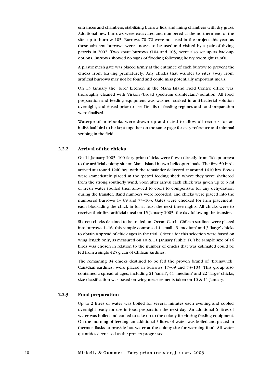entrances and chambers, stabilizing burrow lids, and lining chambers with dry grass. Additional new burrows were excavated and numbered at the northern end of the site, up to burrow 103. Burrows 70–72 were not used in the project this year, as these adjacent burrows were known to be used and visited by a pair of diving petrels in 2002. Two spare burrows (104 and 105) were also set up as back-up options. Burrows showed no signs of flooding following heavy overnight rainfall.

A plastic mesh gate was placed firmly at the entrance of each burrow to prevent the chicks from leaving prematurely. Any chicks that wander to sites away from artificial burrows may not be found and could miss potentially important meals.

On 13 January the 'bird' kitchen in the Mana Island Field Centre office was thoroughly cleaned with Virkon (broad spectrum disinfectant) solution. All food preparation and feeding equipment was washed, soaked in anti-bacterial solution overnight, and rinsed prior to use. Details of feeding regimes and food preparation were finalised.

Waterproof notebooks were drawn up and dated to allow all records for an individual bird to be kept together on the same page for easy reference and minimal scribing in the field.

#### **2.2.2 Arrival of the chicks**

On 14 January 2003, 100 fairy prion chicks were flown directly from Takapourewa to the artificial colony site on Mana Island in two helicopter loads. The first 50 birds arrived at around 1240 hrs, with the remainder delivered at around 1410 hrs. Boxes were immediately placed in the 'petrel feeding shed' where they were sheltered from the strong southerly wind. Soon after arrival each chick was given up to 5 ml of fresh water (boiled then allowed to cool) to compensate for any dehydration during the transfer. Band numbers were recorded, and chicks were placed into the numbered burrows 1– 69 and 73–103. Gates were checked for firm placement, each blockading the chick in for at least the next three nights. All chicks were to receive their first artificial meal on 15 January 2003, the day following the transfer.

Sixteen chicks destined to be trialed on 'Ocean Catch' Chilean sardines were placed into burrows 1–16; this sample comprised 4 'small', 9 'medium' and 3 'large' chicks to obtain a spread of chick ages in the trial. Criteria for this selection were based on wing length only, as measured on  $10 \& 11$  January (Table 1). The sample size of 16 birds was chosen in relation to the number of chicks that was estimated could be fed from a single 425 g can of Chilean sardines.

The remaining 84 chicks destined to be fed the proven brand of 'Brunswick' Canadian sardines, were placed in burrows 17–69 and 73–103. This group also contained a spread of ages, including 21 'small', 41 'medium' and 22 'large' chicks; size classification was based on wing measurements taken on 10 & 11 January.

#### **2.2.3 Food preparation**

Up to 2 litres of water was boiled for several minutes each evening and cooled overnight ready for use in food preparation the next day. An additional 6 litres of water was boiled and cooled to take up to the colony for rinsing feeding equipment. On the morning of feeding, an additional 5 litres of water was boiled and placed in thermos flasks to provide hot water at the colony site for warming food. All water quantities decreased as the project progressed.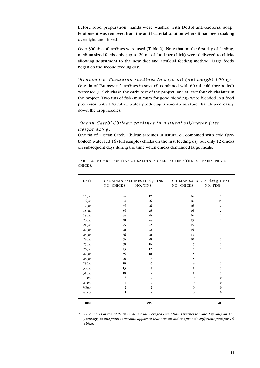Before food preparation, hands were washed with Dettol anti-bacterial soap. Equipment was removed from the anti-bacterial solution where it had been soaking overnight, and rinsed.

Over 300 tins of sardines were used (Table 2). Note that on the first day of feeding, medium-sized feeds only (up to 20 ml of food per chick) were delivered to chicks allowing adjustment to the new diet and artificial feeding method. Large feeds began on the second feeding day.

#### *'Brunswick' Canadian sardines in soya oil (net weight 106 g)*

One tin of 'Brunswick' sardines in soya oil combined with 60 ml cold (pre-boiled) water fed 3–4 chicks in the early part of the project, and at least four chicks later in the project. Two tins of fish (minimum for good blending) were blended in a food processor with 120 ml of water producing a smooth mixture that flowed easily down the crop needles.

### *'Ocean Catch' Chilean sardines in natural oil/water (net weight 425 g)*

One tin of 'Ocean Catch' Chilean sardines in natural oil combined with cold (preboiled) water fed 16 (full sample) chicks on the first feeding day but only 12 chicks on subsequent days during the time when chicks demanded large meals.

| <b>DATE</b>  |                | CANADIAN SARDINES (106 g TINS) | CHILEAN SARDINES (425 g TINS) |                |  |  |  |
|--------------|----------------|--------------------------------|-------------------------------|----------------|--|--|--|
|              | NO. CHICKS     | NO. TINS                       | NO. CHICKS                    | NO. TINS       |  |  |  |
| 15 Jan       | 84             | 17                             | 16                            | $\mathbf{1}$   |  |  |  |
| 16 Jan       | 84             | 26                             | 16                            | $1*$           |  |  |  |
| 17 Jan       | 84             | 26                             | 16                            | 2              |  |  |  |
| 18 Jan       | 84             | 26                             | 16                            | $\overline{2}$ |  |  |  |
| 19 Jan       | 84             | 26                             | 16                            | $\overline{2}$ |  |  |  |
| 20 Jan       | 78             | 24                             | 15                            | $\overline{2}$ |  |  |  |
| 21 Jan       | 75             | 22                             | 15                            | $\mathbf{1}$   |  |  |  |
| 22 Jan       | 70             | 22                             | 15                            | $\mathbf{1}$   |  |  |  |
| 23 Jan       | 66             | 20                             | 13                            | $\mathbf{1}$   |  |  |  |
| 24 Jan       | 56             | 20                             | 10                            | 1              |  |  |  |
| 25 Jan       | 50             | 16                             | 7                             | $\mathbf{1}$   |  |  |  |
| 26 Jan       | 43             | 12                             | 5                             | $\mathbf{1}$   |  |  |  |
| 27 Jan       | 35             | 10                             | 5                             | $\mathbf{1}$   |  |  |  |
| 28 Jan       | 28             | 8                              | 5                             | 1              |  |  |  |
| 29 Jan       | 18             | 6                              | $\overline{4}$                | 1              |  |  |  |
| 30 Jan       | 13             | $\overline{4}$                 | $\mathbf{1}$                  | 1              |  |  |  |
| 31 Jan       | 10             | $\overline{2}$                 | $\mathbf{1}$                  | $\mathbf{1}$   |  |  |  |
| 1 Feb        | 6              | $\overline{2}$                 | $\mathbf{0}$                  | $\mathbf{0}$   |  |  |  |
| 2 Feb        | $\overline{4}$ | $\overline{2}$                 | $\mathbf{0}$                  | $\Omega$       |  |  |  |
| 3 Feb        | $\overline{2}$ | $\overline{2}$                 | $\boldsymbol{0}$              | $\mathbf{0}$   |  |  |  |
| 4 Feb        | $\mathbf{1}$   | $\overline{2}$                 | $\boldsymbol{0}$              | $\bf{0}$       |  |  |  |
| <b>Total</b> |                | 295                            |                               | 21             |  |  |  |

TABLE 2. NUMBER OF TINS OF SARDINES USED TO FEED THE 100 FAIRY PRION CHICKS.

*\* Five chicks in the Chilean sardine trial were fed Canadian sardines for one day only on 16 January; at this point it became apparent that one tin did not provide sufficient food for 16 chicks.*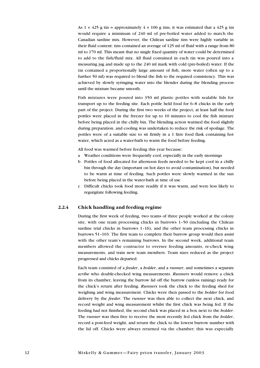As  $1 \times 425$  g tin = approximately  $4 \times 106$  g tins, it was estimated that a 425 g tin would require a minimum of 240 ml of pre-boiled water added to match the Canadian sardine mix. However, the Chilean sardine tins were highly variable in their fluid content: tins contained an average of 125 ml of fluid with a range from 80 ml to 170 ml. This meant that no single fixed quantity of water could be determined to add to the fish/fluid mix. All fluid contained in each tin was poured into a measuring jug and made up to the 240 ml mark with cold (pre-boiled) water. If the tin contained a proportionally large amount of fish, more water (often up to a further 50 ml) was required to blend the fish to the required consistency. This was achieved by slowly syringing water into the blender during the blending process until the mixture became smooth.

Fish mixtures were poured into 350 ml plastic pottles with sealable lids for transport up to the feeding site. Each pottle held food for 6–8 chicks in the early part of the project. During the first two weeks of the project, at least half the food pottles were placed in the freezer for up to 10 minutes to cool the fish mixture before being placed in the chilly bin. The blending action warmed the food slightly during preparation, and cooling was undertaken to reduce the risk of spoilage. The pottles were of a suitable size to sit firmly in a 1 litre food flask containing hot water, which acted as a water-bath to warm the food before feeding.

All food was warmed before feeding this year because:

- a Weather conditions were frequently cool, especially in the early mornings
- b Pottles of food allocated for afternoon feeds needed to be kept cool in a chilly bin through the day (important on hot days to avoid contamination), but needed to be warm at time of feeding. Such pottles were slowly warmed in the sun before being placed in the water-bath at time of use
- c Difficult chicks took food more readily if it was warm, and were less likely to regurgitate following feeding.

#### **2.2.4 Chick handling and feeding regime**

During the first week of feeding, two teams of three people worked at the colony site, with one team processing chicks in burrows 1–50 (including the Chilean sardine trial chicks in burrows 1–16), and the other team processing chicks in burrows 51–103. The first team to complete their burrow group would then assist with the other team's remaining burrows. In the second week, additional team members allowed the contractor to oversee feeding amounts, re-check wing measurements, and train new team members. Team sizes reduced as the project progressed and chicks departed.

Each team consisted of a *feeder*, a *holder*, and a *runner*, and sometimes a separate *scribe* who double-checked wing measurements. *Runners* would remove a chick from its chamber, leaving the burrow lid off the burrow (unless raining) ready for the chick's return after feeding. *Runners* took the chick to the feeding shed for weighing and wing measurement. Chicks were then passed to the *holder* for food delivery by the *feeder*. The *runner* was then able to collect the next chick, and record weight and wing measurement whilst the first chick was being fed. If the feeding had not finished, the second chick was placed in a box next to the *holder*. The *runner* was then free to receive the most recently fed chick from the *holder*, record a post-feed weight, and return the chick to the lowest burrow number with the lid off. Chicks were always returned via the chamber; this was especially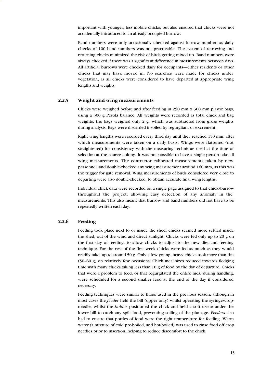important with younger, less mobile chicks, but also ensured that chicks were not accidentally introduced to an already occupied burrow.

Band numbers were only occasionally checked against burrow number, as daily checks of 100 band numbers was not practicable. The system of retrieving and returning chicks minimized the risk of birds getting mixed up. Band numbers were always checked if there was a significant difference in measurements between days. All artificial burrows were checked daily for occupants—either residents or other chicks that may have moved in. No searches were made for chicks under vegetation, as all chicks were considered to have departed at appropriate wing lengths and weights.

#### **2.2.5 Weight and wing measurements**

Chicks were weighed before and after feeding in 250 mm x 300 mm plastic bags, using a 300 g Pesola balance. All weights were recorded as total chick and bag weights; the bags weighed only 2 g, which was subtracted from gross weights during analysis. Bags were discarded if soiled by regurgitant or excrement.

Right wing lengths were recorded every third day until they reached 150 mm, after which measurements were taken on a daily basis. Wings were flattened (not straightened) for consistency with the measuring technique used at the time of selection at the source colony. It was not possible to have a single person take all wing measurements. The contractor calibrated measurements taken by new personnel, and double-checked any wing measurement around 160 mm, as this was the trigger for gate removal. Wing measurements of birds considered very close to departing were also double-checked, to obtain accurate final wing lengths.

Individual chick data were recorded on a single page assigned to that chick/burrow throughout the project, allowing easy detection of any anomaly in the measurements. This also meant that burrow and band numbers did not have to be repeatedly written each day.

#### **2.2.6 Feeding**

Feeding took place next to or inside the shed; chicks seemed more settled inside the shed, out of the wind and direct sunlight. Chicks were fed only up to 20 g on the first day of feeding, to allow chicks to adjust to the new diet and feeding technique. For the rest of the first week chicks were fed as much as they would readily take, up to around 50 g. Only a few young, heavy chicks took more than this (50–60 g) on relatively few occasions. Chick meal sizes reduced towards fledging time with many chicks taking less than 10 g of food by the day of departure. Chicks that were a problem to feed, or that regurgitated the entire meal during handling, were scheduled for a second smaller feed at the end of the day if considered necessary.

Feeding techniques were similar to those used in the previous season, although in most cases the *feeder* held the bill (upper only) whilst operating the syringe/cropneedle, whilst the *holder* positioned the chick and held a soft tissue under the lower bill to catch any spilt food, preventing soiling of the plumage. *Feeders* also had to ensure that pottles of food were the right temperature for feeding. Warm water (a mixture of cold pre-boiled, and hot-boiled) was used to rinse food off crop needles prior to insertion, helping to reduce discomfort to the chick.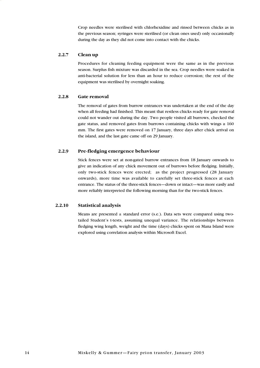Crop needles were sterilised with chlorhexidine and rinsed between chicks as in the previous season; syringes were sterilised (or clean ones used) only occasionally during the day as they did not come into contact with the chicks.

#### **2.2.7 Clean up**

Procedures for cleaning feeding equipment were the same as in the previous season. Surplus fish mixture was discarded in the sea. Crop needles were soaked in anti-bacterial solution for less than an hour to reduce corrosion; the rest of the equipment was sterilised by overnight soaking.

#### **2.2.8 Gate removal**

The removal of gates from burrow entrances was undertaken at the end of the day when all feeding had finished. This meant that restless chicks ready for gate removal could not wander out during the day. Two people visited all burrows, checked the gate status, and removed gates from burrows containing chicks with wings  $\geq 160$ mm. The first gates were removed on 17 January, three days after chick arrival on the island, and the last gate came off on 29 January.

### **2.2.9 Pre-fledging emergence behaviour**

Stick fences were set at non-gated burrow entrances from 18 January onwards to give an indication of any chick movement out of burrows before fledging. Initially, only two-stick fences were erected; as the project progressed (28 January onwards), more time was available to carefully set three-stick fences at each entrance. The status of the three-stick fences—down or intact—was more easily and more reliably interpreted the following morning than for the two-stick fences.

#### **2.2.10 Statistical analysis**

Means are presented  $\pm$  standard error (s.e.). Data sets were compared using twotailed Student's t-tests, assuming unequal variance. The relationships between fledging wing length, weight and the time (days) chicks spent on Mana Island were explored using correlation analysis within Microsoft Excel.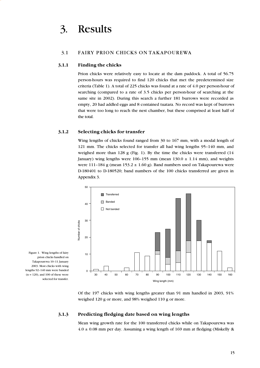#### <span id="page-15-0"></span>3.1 FAIRY PRION CHICKS ON TAKAPOUREWA

#### **3.1.1 Finding the chicks**

Prion chicks were relatively easy to locate at the dam paddock. A total of 56.75 person-hours was required to find 120 chicks that met the predetermined size criteria (Table 1). A total of 225 chicks was found at a rate of 4.0 per person-hour of searching (compared to a rate of 3.5 chicks per person-hour of searching at the same site in 2002). During this search a further 181 burrows were recorded as empty, 20 had addled eggs and 8 contained tuatara. No record was kept of burrows that were too long to reach the nest chamber, but these comprised at least half of the total.

#### **3.1.2 Selecting chicks for transfer**

Wing lengths of chicks found ranged from 30 to 167 mm, with a modal length of 121 mm. The chicks selected for transfer all had wing lengths 95–140 mm, and weighed more than 128 g (Fig. 1). By the time the chicks were transferred  $(14)$ January) wing lengths were 106-155 mm (mean  $130.0 \pm 1.14$  mm), and weights were 111-184 g (mean  $153.2 \pm 1.60$  g). Band numbers used on Takapourewa were D-180401 to D-180520; band numbers of the 100 chicks transferred are given in Appendix 3.



Figure 1. Wing lengths of fairy prion chicks handled on Takapourewa 10–11 January 2003. Most chicks with wing lengths 92–140 mm were banded  $(n = 120)$ , and 100 of these were selected for transfer.

> Of the 197 chicks with wing lengths greater than 91 mm handled in 2003, 91% weighed 120 g or more, and 98% weighed 110 g or more.

#### **3.1.3 Predicting fledging date based on wing lengths**

Mean wing growth rate for the 100 transferred chicks while on Takapourewa was  $4.0 \pm 0.08$  mm per day. Assuming a wing length of 169 mm at fledging (Miskelly &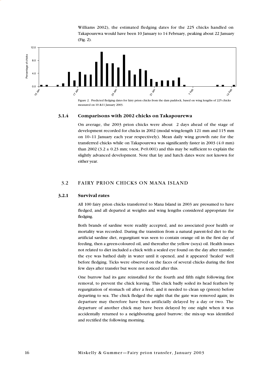Williams 2002), the estimated fledging dates for the 225 chicks handled on Takapourewa would have been 10 January to 14 February, peaking about 22 January (Fig. 2).

<span id="page-16-0"></span>

measured on 10 &11 January 2003.

#### **3.1.4 Comparisons with 2002 chicks on Takapourewa**

On average, the 2003 prion chicks were about 2 days ahead of the stage of development recorded for chicks in 2002 (modal wing-length 121 mm and 115 mm on 10–11 January each year respectively). Mean daily wing growth rate for the transferred chicks while on Takapourewa was significantly faster in 2003 (4.0 mm) than 2002 (3.2  $\pm$  0.23 mm; t-test, P<0.001) and this may be sufficient to explain the slightly advanced development. Note that lay and hatch dates were not known for either year.

#### 3.2 FAIRY PRION CHICKS ON MANA ISLAND

#### **3.2.1 Survival rates**

All 100 fairy prion chicks transferred to Mana Island in 2003 are presumed to have fledged, and all departed at weights and wing lengths considered appropriate for fledging.

Both brands of sardine were readily accepted, and no associated poor health or mortality was recorded. During the transition from a natural parent-fed diet to the artificial sardine diet, regurgitant was seen to contain orange oil in the first day of feeding, then a green-coloured oil, and thereafter the yellow (soya) oil. Health issues not related to diet included a chick with a sealed eye found on the day after transfer; the eye was bathed daily in water until it opened, and it appeared 'healed' well before fledging. Ticks were observed on the faces of several chicks during the first few days after transfer but were not noticed after this.

One burrow had its gate reinstalled for the fourth and fifth night following first removal, to prevent the chick leaving. This chick badly soiled its head feathers by regurgitation of stomach oil after a feed, and it needed to clean up (preen) before departing to sea. The chick fledged the night that the gate was removed again; its departure may therefore have been artificially delayed by a day or two. The departure of another chick may have been delayed by one night when it was accidentally returned to a neighbouring gated burrow; the mix-up was identified and rectified the following morning.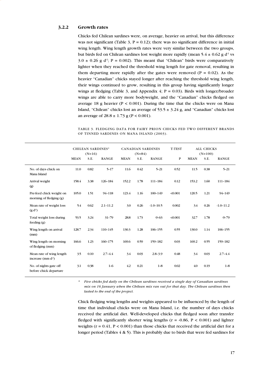#### **3.2.2 Growth rates**

Chicks fed Chilean sardines were, on average, heavier on arrival, but this difference was not significant (Table 3,  $P = 0.12$ ); there was no significant difference in initial wing length. Wing length growth rates were very similar between the two groups, but birds fed on Chilean sardines lost weight more rapidly (mean  $5.4 \pm 0.62$  g d<sup>1</sup> vs  $3.0 \pm 0.26$  g d<sup>-1</sup>; P = 0.002). This meant that "Chilean" birds were comparatively lighter when they reached the threshold wing length for gate removal, resulting in them departing more rapidly after the gates were removed ( $P = 0.02$ ). As the heavier "Canadian" chicks stayed longer after reaching the threshold wing length, their wings continued to grow, resulting in this group having significantly longer wings at fledging (Table 3, and Appendix 4;  $P = 0.03$ ). Birds with longer/broader wings are able to carry more bodyweight, and the "Canadian" chicks fledged on average 18 g heavier ( $P < 0.001$ ). During the time that the chicks were on Mana Island, "Chilean" chicks lost an average of  $53.5 \pm 3.24$  g, and "Canadian" chicks lost an average of  $28.8 \pm 1.73$  g (P < 0.001).

TABLE 3. FLEDGING DATA FOR FAIRY PRION CHICKS FED TWO DIFFERENT BRANDS OF TINNED SARDINES ON MANA ISLAND (2003).

|                                                     |             | <b>CHILEAN SARDINES*</b><br>$(N=16)$ |              |             | $(N=84)$ | <b>CANADIAN SARDINES</b> | <b>T-TEST</b> | <b>ALL CHICKS</b><br>$(N=100)$ |      |               |
|-----------------------------------------------------|-------------|--------------------------------------|--------------|-------------|----------|--------------------------|---------------|--------------------------------|------|---------------|
|                                                     | <b>MEAN</b> | S.E.                                 | <b>RANGE</b> | <b>MEAN</b> | S.E.     | <b>RANGE</b>             | $\mathbf{P}$  | <b>MEAN</b>                    | S.E. | <b>RANGE</b>  |
| No. of days chick on<br>Mana Island                 | 11.0        | 0.82                                 | $5 - 17$     | 11.6        | 0.42     | $5 - 21$                 | 0.52          | 11.5                           | 0.38 | $5 - 21$      |
| Arrival weight<br>$\circledR$                       | 158.4       | 3.38                                 | 126-184      | 152.2       | 1.78     | $111 - 184$              | 0.12          | 153.2                          | 1.60 | $111 - 184$   |
| Pre-feed chick weight on<br>morning of fledging (g) | 105.0       | 1.51                                 | 94-118       | 123.4       | 1.16     | 100-149                  | < 0.001       | 120.5                          | 1.21 | 94-149        |
| Mean rate of weight loss<br>(g d <sup>1</sup> )     | 5.4         | 0.62                                 | $2.1 - 11.2$ | 3.0         | 0.26     | $-1.0 - 10.5$            | 0.002         | 3.4                            | 0.26 | $-1.0 - 11.2$ |
| Total weight loss during<br>$f$ eeding $(g)$        | 53.5        | 3.24                                 | $31 - 79$    | 28.8        | 1.73     | $-9-63$                  | < 0.001       | 32.7                           | 1.78 | $-9 - 79$     |
| Wing length on arrival<br>(mm)                      | 128.7       | 2.34                                 | 110-145      | 130.3       | 1.28     | 106-155                  | 0.55          | 130.0                          | 1.14 | 106-155       |
| Wing length on morning<br>of fledging (mm)          | 166.6       | 1.23                                 | $160 - 175$  | 169.6       | 0.59     | 159-182                  | 0.03          | 169.2                          | 0.55 | 159-182       |
| Mean rate of wing length<br>increase (mm $d1$ )     | 3.5         | 0.10                                 | $2.7 - 4.4$  | 3.4         | 0.03     | $2.8 - 3.9$              | 0.48          | 3.4                            | 0.03 | $2.7 - 4.4$   |
| No. of nights gate off<br>before chick departure    | 3.1         | 0.38                                 | $1-6$        | 4.2         | 0.21     | $1 - 8$                  | 0.02          | 4.0                            | 0.19 | $1 - 8$       |

*\* Five chicks fed daily on the Chilean sardines received a single day of Canadian sardines mix on 16 January when the Chilean mix ran out for that day. The Chilean sardines then lasted to the end of the project.* 

Chick fledging wing lengths and weights appeared to be influenced by the length of time that individual chicks were on Mana Island, i.e. the number of days chicks received the artificial diet. Well-developed chicks that fledged soon after transfer fledged with significantly shorter wing lengths ( $r = -0.86$ ,  $P < 0.001$ ) and lighter weights ( $r = 0.41$ ,  $P < 0.001$ ) than those chicks that received the artificial diet for a longer period (Tables  $4 \& 5$ ). This is probably due to birds that were fed sardines for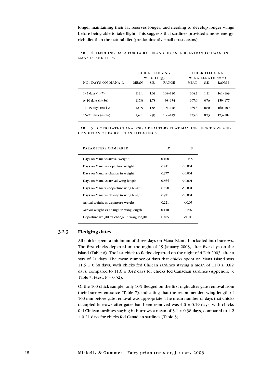longer maintaining their fat reserves longer, and needing to develop longer wings before being able to take flight. This suggests that sardines provided a more energyrich diet than the natural diet (predominantly small crustaceans).

|                      |             | CHICK FLEDGING<br>WEIGHT $(g)$ |              |             | CHICK FLEDGING<br>WING LENGTH (mm) |              |
|----------------------|-------------|--------------------------------|--------------|-------------|------------------------------------|--------------|
| NO. DAYS ON MANA L   | <b>MEAN</b> | S.E.                           | <b>RANGE</b> | <b>MEAN</b> | S.E.                               | <b>RANGE</b> |
| $1-5$ days $(n=7)$   | 113.1       | 1.62                           | 108-120      | 164.3       | 1.11                               | $161 - 169$  |
| $6-10$ days $(n=36)$ | 117.3       | 1.78                           | $98 - 134$   | 167.0       | 0.76                               | 159-177      |
| 11-15 days $(n=43)$  | 120.5       | 1.85                           | $94 - 148$   | 169.6       | 0.80                               | $160 - 180$  |
| 16-21 days $(n=14)$  | 132.1       | 2.93                           | 106-149      | 175.6       | 0.73                               | 173-182      |

TABLE 4. FLEDGING DATA FOR FAIRY PRION CHICKS IN RELATION TO DAYS ON MANA ISLAND (2003).

TABLE 5. CORRELATION ANALYSIS OF FACTORS THAT MAY INFLUENCE SIZE AND CONDITION OF FAIRY PRION FLEDGLINGS.

| PARAMETERS COMPARED                       | R        | P       |
|-------------------------------------------|----------|---------|
| Days on Mana vs arrival weight            | $-0.108$ | N.S     |
| Days on Mana vs departure weight          | 0.411    | < 0.001 |
| Days on Mana vs change in weight          | 0.377    | < 0.001 |
| Days on Mana vs arrival wing length       | -0.864   | < 0.001 |
| Days on Mana vs departure wing length     | 0.558    | < 0.001 |
| Days on Mana vs change in wing length     | 0.971    | < 0.001 |
| Arrival weight vs departure weight        | 0.221    | < 0.05  |
| Arrival weight vs change in wing length   | $-0.110$ | NS.     |
| Departure weight vs change in wing length | 0.405    | < 0.05  |
|                                           |          |         |

### **3.2.3 Fledging dates**

All chicks spent a minimum of three days on Mana Island, blockaded into burrows. The first chicks departed on the night of 19 January 2003, after five days on the island (Table 6). The last chick to fledge departed on the night of 4 Feb 2003, after a stay of 21 days. The mean number of days that chicks spent on Mana Island was 11.5  $\pm$  0.38 days, with chicks fed Chilean sardines staying a mean of 11.0  $\pm$  0.82 days, compared to  $11.6 \pm 0.42$  days for chicks fed Canadian sardines (Appendix 3; Table 3, t-test,  $P = 0.52$ ).

Of the 100 chick sample, only 10% fledged on the first night after gate removal from their burrow entrance (Table 7), indicating that the recommended wing length of 160 mm before gate removal was appropriate. The mean number of days that chicks occupied burrows after gates had been removed was  $4.0 \pm 0.19$  days, with chicks fed Chilean sardines staying in burrows a mean of  $3.1 \pm 0.38$  days, compared to 4.2 ± 0.21 days for chicks fed Canadian sardines (Table 3).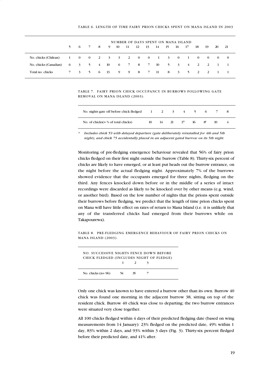#### TABLE 6. LENGTH OF TIME FAIRY PRION CHICKS SPENT ON MANA ISLAND IN 2003

|                       | NUMBER OF DAYS SPENT ON MANA ISLAND<br>13 14 15 16 17<br>11 12<br>5 6 7 8 9 10<br>- 18<br>19<br>-20<br>21<br>No. chicks (Chilean) 1 0 0 2 3 3 2 0 0 1 3 0 1<br>$\mathbf{0}$<br>$\overline{0}$<br>$0 \qquad 0$ |  |  |  |  |                               |  |  |  |  |     |                            |  |
|-----------------------|---------------------------------------------------------------------------------------------------------------------------------------------------------------------------------------------------------------|--|--|--|--|-------------------------------|--|--|--|--|-----|----------------------------|--|
|                       |                                                                                                                                                                                                               |  |  |  |  |                               |  |  |  |  |     |                            |  |
|                       |                                                                                                                                                                                                               |  |  |  |  |                               |  |  |  |  |     |                            |  |
| No. chicks (Canadian) |                                                                                                                                                                                                               |  |  |  |  | 6 3 5 4 10 6 7 8 7 10 5 3 4 2 |  |  |  |  |     | $\overline{\phantom{a}}$ 2 |  |
| Total no. chicks      |                                                                                                                                                                                                               |  |  |  |  | 7 3 5 6 13 9 9 8 7 11 8 3 5   |  |  |  |  | 2 2 |                            |  |

#### TABLE 7. FAIRY PRION CHICK OCCUPANCY IN BURROWS FOLLOWING GATE REMOVAL ON MANA ISLAND (2003).

| No. nights gate off before chick fledged |    |  | 1 2 3 4 5 |       | $6 \overline{7}$ |  |
|------------------------------------------|----|--|-----------|-------|------------------|--|
| No. of chicks $(=\%$ of total chicks)    | 10 |  | 14 21 17  | 16 8* | -10              |  |

*\* Includes chick 59 with delayed departure (gate deliberately reinstalled for 4th and 5th night), and chick 75 accidentally placed in an adjacent gated burrow on its 5th night.* 

Monitoring of pre-fledging emergence behaviour revealed that 56% of fairy prion chicks fledged on their first night outside the burrow (Table 8). Thirty-six percent of chicks are likely to have emerged, or at least put heads out the burrow entrance, on the night before the actual fledging night. Approximately 7% of the burrows showed evidence that the occupants emerged for three nights, fledging on the third. Any fences knocked down before or in the middle of a series of intact recordings were discarded as likely to be knocked over by other means (e.g. wind, or another bird). Based on the low number of nights that the prions spent outside their burrows before fledging, we predict that the length of time prion chicks spent on Mana will have little effect on rates of return to Mana Island (i.e. it is unlikely that any of the transferred chicks had emerged from their burrows while on Takapourewa).

| TABLE 8. PRE-FLEDGING EMERGENCE BEHAVIOUR OF FAIRY PRION CHICKS ON |  |  |  |
|--------------------------------------------------------------------|--|--|--|
| MANA ISLAND (2003).                                                |  |  |  |

| <b>NO. SUCCESSIVE NIGHTS FENCE DOWN BEFORE</b><br>CHICK FLEDGED (INCLUDES NIGHT OF FLEDGE) |    |     |  |
|--------------------------------------------------------------------------------------------|----|-----|--|
|                                                                                            |    |     |  |
| No. chicks $(n=96)$                                                                        | 54 | 35. |  |

Only one chick was known to have entered a burrow other than its own. Burrow 40 chick was found one morning in the adjacent burrow 38, sitting on top of the resident chick. Burrow 40 chick was close to departing; the two burrow entrances were situated very close together.

All 100 chicks fledged within 4 days of their predicted fledging date (based on wing measurements from 14 January): 23% fledged on the predicted date, 49% within 1 day, 83% within 2 days, and 93% within 3 days (Fig. 3). Thirty-six percent fledged before their predicted date, and 41% after.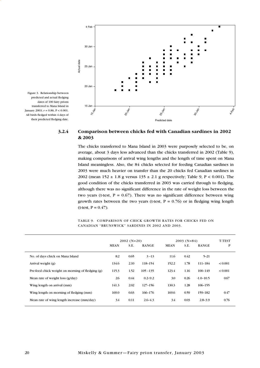

Figure 3. Relationship between predicted and actual fledging dates of 100 fairy prions transferred to Mana Island in January 2003; *r* = 0.86, P < 0.001. All birds fledged within 4 days of their predicted fledging date.

### **3.2.4 Comparison between chicks fed with Canadian sardines in 2002 & 2003**

The chicks transferred to Mana Island in 2003 were purposely selected to be, on average, about 3 days less advanced than the chicks transferred in 2002 (Table 9), making comparisons of arrival wing lengths and the length of time spent on Mana Island meaningless. Also, the 84 chicks selected for feeding Canadian sardines in 2003 were much heavier on transfer than the 20 chicks fed Canadian sardines in 2002 (mean  $152 \pm 1.8$  g versus  $135 \pm 2.1$  g respectively; Table 9, P < 0.001). The good condition of the chicks transferred in 2003 was carried through to fledging, although there was no significant difference in the rate of weight loss between the two years (t-test,  $P = 0.67$ ). There was no significant difference between wing growth rates between the two years (t-test,  $P = 0.76$ ) or in fledging wing length  $(t-test, P = 0.47)$ .

TABLE 9. COMPARISON OF CHICK GROWTH RATES FOR CHICKS FED ON CANADIAN "BRUNSWICK" SARDINES IN 2002 AND 2003.

|                                                  |             | $2002 (N=20)$ |              | $2003$ (N=84) | <b>T-TEST</b> |               |              |
|--------------------------------------------------|-------------|---------------|--------------|---------------|---------------|---------------|--------------|
|                                                  | <b>MEAN</b> | S.E.          | <b>RANGE</b> | <b>MEAN</b>   | S.E.          | <b>RANGE</b>  | P            |
| No. of days chick on Mana Island                 | 8.2         | 0.65          | $3 - 13$     | 11.6          | 0.42          | $5 - 21$      |              |
| Arrival weight (g)                               | 134.6       | 2.10          | 118-154      | 152.2         | 1.78          | $111 - 184$   | ${}_{0.001}$ |
| Pre-feed chick weight on morning of fledging (g) | 115.3       | 1.52          | $105 - 135$  | 123.4         | 1.16          | $100 - 149$   | ${}_{0.001}$ |
| Mean rate of weight loss (g/day)                 | 2.6         | 0.44          | $0.2 - 9.2$  | 3.0           | 0.26          | $-1.0 - 10.5$ | 0.67         |
| Wing length on arrival (mm)                      | 141.3       | 2.02          | $127 - 156$  | 130.3         | 1.28          | 106-155       |              |
| Wing length on morning of fledging (mm)          | 169.0       | 0.63          | 166-176      | 169.6         | 0.59          | 159-182       | 0.47         |
| Mean rate of wing length increase (mm/day)       | 3.4         | 0.11          | $2.6 - 4.3$  | 3.4           | 0.03          | $2.8 - 3.9$   | 0.76         |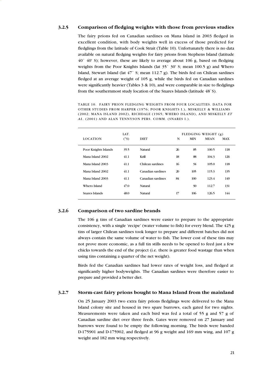#### **3.2.5 Comparison of fledging weights with those from previous studies**

The fairy prions fed on Canadian sardines on Mana Island in 2003 fledged in excellent condition, with body weights well in excess of those predicted for fledglings from the latitude of Cook Strait (Table 10). Unfortunately there is no data available on natural fledging weights for fairy prions from Stephens Island (latitude 40˚ 40' S); however, these are likely to average about 106 g, based on fledging weights from the Poor Knights Islands (lat 35˚ 30' S; mean 100.5 g) and Whero Island, Stewart Island (lat 47˚ S; mean 112.7 g). The birds fed on Chilean sardines fledged at an average weight of 105 g, while the birds fed on Canadian sardines were significantly heavier (Tables 3 & 10), and were comparable in size to fledglings from the southernmost study location of the Snares Islands (latitude 48˚S).

TABLE 10. FAIRY PRION FLEDGING WEIGHTS FROM FOUR LOCALITIES. DATA FOR OTHER STUDIES FROM HARPER (1976; POOR KNIGHTS I.), MISKELLY & WILLIAMS (2002; MANA ISLAND 2002), RICHDALE (1965; WHERO ISLAND), AND MISKELLY *ET AL*. (2001) AND ALAN TENNYSON PERS. COMM. (SNARES I.).

|                      | LAT.          |                   |    |            | FLEDGING WEIGHT (g) |            |  |
|----------------------|---------------|-------------------|----|------------|---------------------|------------|--|
| <b>LOCATION</b>      | $(^{\circ}S)$ | <b>DIET</b>       | N  | <b>MIN</b> | <b>MEAN</b>         | <b>MAX</b> |  |
| Poor Knights Islands | 35.5          | Natural           | 26 | 85         | 100.5               | 118        |  |
| Mana Island 2002     | 41.1          | Krill             | 18 | 88         | 104.3               | 126        |  |
| Mana Island 2003     | 41.1          | Chilean sardines  | 16 | 94         | 105.0               | 118        |  |
| Mana Island 2002     | 41.1          | Canadian sardines | 20 | 105        | 115.3               | 135        |  |
| Mana Island 2003     | 41.1          | Canadian sardines | 84 | 100        | 123.4               | 149        |  |
| Whero Island         | 47.0          | Natural           |    | 90         | 112.7               | 131        |  |
| Snares Islands       | 48.0          | Natural           | 17 | 106        | 126.5               | 144        |  |
|                      |               |                   |    |            |                     |            |  |

#### **3.2.6 Comparison of two sardine brands**

The 106 g tins of Canadian sardines were easier to prepare to the appropriate consistency, with a single 'recipe' (water volume to fish) for every blend. The 425 g tins of larger Chilean sardines took longer to prepare and different batches did not always contain the same volume of water to fish. The lower cost of these tins may not prove more economic, as a full tin stills needs to be opened to feed just a few chicks towards the end of the project (i.e. there is greater food wastage than when using tins containing a quarter of the net weight).

Birds fed the Canadian sardines had lower rates of weight loss, and fledged at significantly higher bodyweights. The Canadian sardines were therefore easier to prepare and provided a better diet.

#### **3.2.7 Storm-cast fairy prions bought to Mana Island from the mainland**

On 25 January 2003 two extra fairy prions fledglings were delivered to the Mana Island colony site and housed in two spare burrows, each gated for two nights. Measurements were taken and each bird was fed a total of 55 g and 57 g of Canadian sardine diet over three feeds. Gates were removed on 27 January and burrows were found to be empty the following morning. The birds were banded D-175901 and D-175902, and fledged at 96 g weight and 169 mm wing, and 107 g weight and 182 mm wing respectively.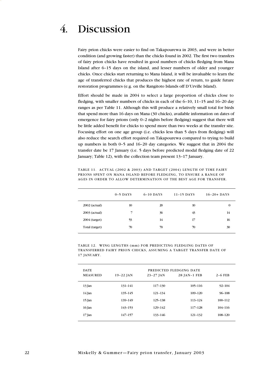<span id="page-22-0"></span>Fairy prion chicks were easier to find on Takapourewa in 2003, and were in better condition (and growing faster) than the chicks found in 2002. The first two transfers of fairy prion chicks have resulted in good numbers of chicks fledging from Mana Island after 6–15 days on the island, and lesser numbers of older and younger chicks. Once chicks start returning to Mana Island, it will be invaluable to learn the age of transferred chicks that produces the highest rate of return, to guide future restoration programmes (e.g. on the Rangitoto Islands off D'Urville Island).

Effort should be made in 2004 to select a large proportion of chicks close to fledging, with smaller numbers of chicks in each of the 6–10, 11–15 and 16–20 day ranges as per Table 11. Although this will produce a relatively small total for birds that spend more than 16 days on Mana (30 chicks), available information on dates of emergence for fairy prions (only 0–2 nights before fledging) suggest that there will be little added benefit for chicks to spend more than two weeks at the transfer site. Focusing effort on one age group (i.e. chicks less than 5 days from fledging) will also reduce the search effort required on Takapourewa compared to trying to build up numbers in both 0–5 and 16–20 day categories. We suggest that in 2004 the transfer date be 17 January (i.e. 5 days before predicted modal fledging date of 22 January; Table 12), with the collection team present 13–17 January.

TABLE 11. ACTUAL (2002 & 2003) AND TARGET (2004) LENGTH OF TIME FAIRY PRIONS SPENT ON MANA ISLAND BEFORE FLEDGING, TO ENSURE A RANGE OF AGES IN ORDER TO ALLOW DETERMINATION OF THE BEST AGE FOR TRANSFER.

|                 | $0-5$ DAYS | $6-10$ DAYS | $11-15$ DAYS | $16 - 20 + \text{DAYS}$ |
|-----------------|------------|-------------|--------------|-------------------------|
| 2002 (actual)   | 10         | 20          | 10           | $\bf{0}$                |
| 2003 (actual)   | 7          | 36          | 43           | 14                      |
| $2004$ (target) | 53         | 14          | 17           | 16                      |
| Total (target)  | 70         | 70          | 70           | 30                      |

TABLE 12. WING LENGTHS (mm) FOR PREDICTING FLEDGING DATES OF TRANSFERRED FAIRY PRION CHICKS, ASSUMING A TARGET TRANSFER DATE OF 17 JANUARY.

| <b>DATE</b>     |           | PREDICTED FLEDGING DATE |                     |             |
|-----------------|-----------|-------------------------|---------------------|-------------|
| <b>MEASURED</b> | 19-22 JAN | $23 - 27$ JAN           | <b>28 JAN-1 FEB</b> | $2-6$ FEB   |
| $13$ Jan        | 131-141   | 117-130                 | $105 - 116$         | $92 - 104$  |
| 14 Jan          | 135-145   | $121 - 134$             | 109-120             | $96 - 108$  |
| $15$ Jan        | 139-149   | 125-138                 | 113-124             | $100 - 112$ |
| 16 Jan          | 143-153   | 129-142                 | 117-128             | $104 - 116$ |
| $17$ Jan        | 147-157   | 133-146                 | 121-132             | 108-120     |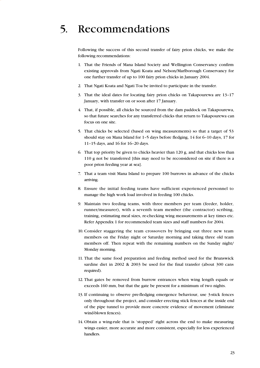## <span id="page-23-0"></span>5. Recommendations

Following the success of this second transfer of fairy prion chicks, we make the following recommendations:

- 1. That the Friends of Mana Island Society and Wellington Conservancy confirm existing approvals from Ngati Koata and Nelson/Marlborough Conservancy for one further transfer of up to 100 fairy prion chicks in January 2004.
- 2. That Ngati Koata and Ngati Toa be invited to participate in the transfer.
- 3. That the ideal dates for locating fairy prion chicks on Takapourewa are 13–17 January, with transfer on or soon after 17 January.
- 4. That, if possible, all chicks be sourced from the dam paddock on Takapourewa, so that future searches for any transferred chicks that return to Takapourewa can focus on one site.
- 5. That chicks be selected (based on wing measurements) so that a target of 53 should stay on Mana Island for 1–5 days before fledging, 14 for 6–10 days, 17 for 11–15 days, and 16 for 16–20 days.
- 6. That top priority be given to chicks heavier than 120 g, and that chicks less than 110 g not be transferred [this may need to be reconsidered on site if there is a poor prion feeding year at sea].
- 7. That a team visit Mana Island to prepare 100 burrows in advance of the chicks arriving.
- 8. Ensure the initial feeding teams have sufficient experienced personnel to manage the high work load involved in feeding 100 chicks.
- 9. Maintain two feeding teams, with three members per team (feeder, holder, runner/measurer), with a seventh team member (the contractor) scribing, training, estimating meal sizes, re-checking wing measurements at key times etc. Refer Appendix 1 for recommended team sizes and staff numbers for 2004.
- 10. Consider staggering the team crossovers by bringing out three new team members on the Friday night or Saturday morning and taking three old team members off. Then repeat with the remaining numbers on the Sunday night/ Monday morning.
- 11. That the same food preparation and feeding method used for the Brunswick sardine diet in 2002 & 2003 be used for the final transfer (about 300 cans required).
- 12. That gates be removed from burrow entrances when wing length equals or exceeds 160 mm, but that the gate be present for a minimum of two nights.
- 13. If continuing to observe pre-fledging emergence behaviour, use 3-stick fences only throughout the project, and consider erecting stick fences at the inside end of the pipe tunnel to provide more concrete evidence of movement (eliminate wind-blown fences).
- 14. Obtain a wing-rule that is 'stopped' right across the end to make measuring wings easier, more accurate and more consistent, especially for less experienced handlers.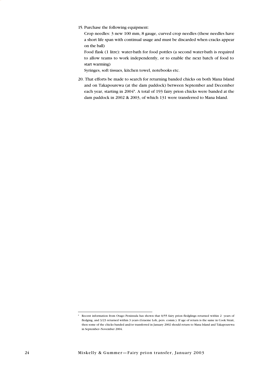15. Purchase the following equipment:

Crop needles: 3 new 100 mm, 8 gauge, curved crop needles (these needles have a short life span with continual usage and must be discarded when cracks appear on the ball)

Food flask (1 litre): water-bath for food pottles (a second water-bath is required to allow teams to work independently, or to enable the next batch of food to start warming)

Syringes, soft tissues, kitchen towel, notebooks etc.

20. That efforts be made to search for returning banded chicks on both Mana Island and on Takapourewa (at the dam paddock) between September and December each year, starting in 2004\*. A total of 193 fairy prion chicks were banded at the dam paddock in 2002 & 2003, of which 131 were transferred to Mana Island.

<sup>\*</sup> Recent information from Otago Peninsula has shown that 0/55 fairy prion fledglings returned within 2 years of fledging, and 3/23 returned within 3 years (Graeme Loh, pers. comm.). If age of return is the same in Cook Strait, then some of the chicks banded and/or transferred in January 2002 should return to Mana Island and Takapourewa in September–November 2004.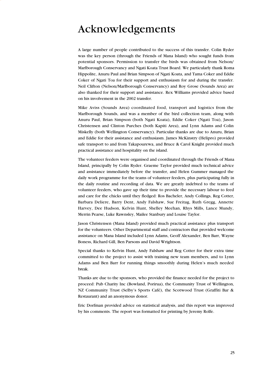## <span id="page-25-0"></span>Acknowledgements

A large number of people contributed to the success of this transfer. Colin Ryder was the key person (through the Friends of Mana Island) who sought funds from potential sponsors. Permission to transfer the birds was obtained from Nelson/ Marlborough Conservancy and Ngati Koata Trust Board. We particularly thank Roma Hippolite, Anuru Paul and Brian Simpson of Ngati Koata, and Tama Coker and Eddie Coker of Ngati Toa for their support and enthusiasm for and during the transfer. Neil Clifton (Nelson/Marlborough Conservancy) and Roy Grose (Sounds Area) are also thanked for their support and assistance. Rex Williams provided advice based on his involvement in the 2002 transfer.

Mike Aviss (Sounds Area) coordinated food, transport and logistics from the Marlborough Sounds, and was a member of the bird collection team, along with Anuru Paul, Brian Simpson (both Ngati Koata), Eddie Coker (Ngati Toa), Jason Christensen and Clinton Purches (both Kapiti Area), and Lynn Adams and Colin Miskelly (both Wellington Conservancy). Particular thanks are due to Anuru, Brian and Eddie for their assistance and enthusiasm. James McKinstry (Helipro) provided safe transport to and from Takapourewa, and Bruce & Carol Knight provided much practical assistance and hospitality on the island.

The volunteer feeders were organised and coordinated through the Friends of Mana Island, principally by Colin Ryder. Graeme Taylor provided much technical advice and assistance immediately before the transfer, and Helen Gummer managed the daily work programme for the teams of volunteer feeders, plus participating fully in the daily routine and recording of data. We are greatly indebted to the teams of volunteer feeders, who gave up their time to provide the necessary labour to feed and care for the chicks until they fledged: Ros Bacheler, Andy Collings, Reg Cotter, Barbara Deliere, Barry Dent, Andy Falshaw, Sue Freitag, Ruth Gregg, Annette Harvey, Dee Hudson, Kelvin Hunt, Shelley Meehan, Rhys Mills, Lance Mundy, Merrin Pearse, Luke Rawnsley, Mailee Stanbury and Louise Taylor.

Jason Christensen (Mana Island) provided much practical assistance plus transport for the volunteers. Other Departmental staff and contractors that provided welcome assistance on Mana Island included Lynn Adams, Geoff Alexander, Ben Barr, Wayne Boness, Richard Gill, Ben Parsons and David Wrightson.

Special thanks to Kelvin Hunt, Andy Falshaw and Reg Cotter for their extra time committed to the project to assist with training new team members, and to Lynn Adams and Ben Barr for running things smoothly during Helen's much needed break.

Thanks are due to the sponsors, who provided the finance needed for the project to proceed: Pub Charity Inc (Bowland, Porirua), the Community Trust of Wellington, NZ Community Trust (Selby's Sports Café), the Scotwood Trust (Graffiti Bar & Restaurant) and an anonymous donor.

Eric Dorfman provided advice on statistical analysis, and this report was improved by his comments. The report was formatted for printing by Jeremy Rolfe.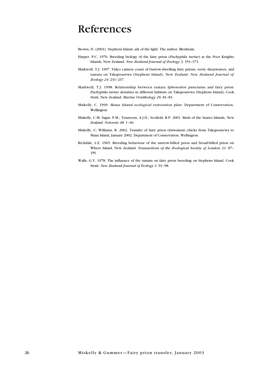## <span id="page-26-0"></span>References

Brown, D. [2001]. Stephens Island; ark of the light. The author, Blenheim.

- Harper. P.C. 1976. Breeding biology of the fairy prion (*Pachyptila turtur*) at the Poor Knights Islands, New Zealand. *New Zealand Journal of Zoology 3*: 351–371.
- Markwell, T.J. 1997. Video camera count of burrow-dwelling fairy prions, sooty shearwaters, and tuatara on Takapourewa (Stephens Island), New Zealand. *New Zealand Journal of Zoology 24*: 231–237.
- Markwell, T.J. 1998. Relationship between tuatara *Sphenodon punctatus* and fairy prion *Pachyptila turtur* densities in different habitats on Takapourewa (Stephens Island), Cook Strait, New Zealand. *Marine Ornithology 26*: 81–83.
- Miskelly, C. 1999. *Mana Island ecological restoration plan*. Department of Conservation, Wellington.
- Miskelly, C.M; Sagar, P.M.; Tennyson, A.J.D.; Scofield, R.P. 2001. Birds of the Snares Islands, New Zealand. *Notornis 48*: 1–40.
- Miskelly, C; Williams, R. 2002. Transfer of fairy prion (titiwainui) chicks from Takapourewa to Mana Island, January 2002. Department of Conservation, Wellington.
- Richdale, L.E. 1965. Breeding behaviour of the narrow-billed prion and broad-billed prion on Whero Island, New Zealand. *Transactions of the Zoological Society of London 31*: 87– 155.
- Walls, G.Y. 1978. The influence of the tuatara on fairy prion breeding on Stephens Island, Cook Strait. *New Zealand Journal of Ecology 1*: 91–98.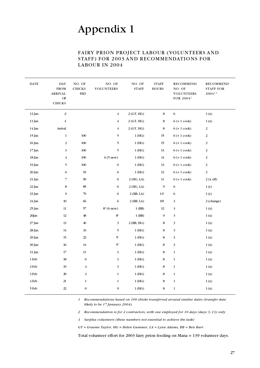### FAIRY PRION PROJECT LABOUR (VOLUNTEERS AND STAFF) FOR 2003 AND RECOMMENDATIONS FOR LABOUR IN 2004

<span id="page-27-0"></span>

| $\mathbf{DATE}$ | <b>DAY</b><br><b>FROM</b><br><b>ARRIVAL</b><br>$\mathrm{OF}$<br><b>CHICKS</b> | NO. OF<br><b>CHICKS</b><br><b>FED</b> | NO. OF<br><b>VOLUNTEERS</b> | NO. OF<br><b>STAFF</b> | <b>STAFF</b><br><b>HOURS</b> | <b>RECOMMEND</b><br>NO. OF<br><b>VOLUNTEERS</b><br>FOR 2004 <sup>1</sup> | RECOMMEND<br><b>STAFF FOR</b><br>$2004^{1,2}$ |
|-----------------|-------------------------------------------------------------------------------|---------------------------------------|-----------------------------|------------------------|------------------------------|--------------------------------------------------------------------------|-----------------------------------------------|
| 12 Jan          | $\overline{2}$                                                                |                                       | $\overline{4}$              | 2(GT, HG)              | $\bf8$                       | $\sqrt{6}$                                                               | 1(x)                                          |
| 13 Jan          | $-1$                                                                          |                                       | $\overline{4}$              | 2(GT, HG)              | $\bf8$                       | $6 (+ 1 \text{ cook})$                                                   | 1(x)                                          |
| 14 Jan          | Arrival                                                                       |                                       | $\overline{4}$              | 2(GT, HG)              | 8                            | $6 (+ 1 \text{ cosk})$                                                   | $\overline{2}$                                |
| 15 Jan          | $\mathbf{1}$                                                                  | 100                                   | $\mathfrak{h}$              | $1$ (HG)               | 15                           | $6 (+ 1 \text{ cook})$                                                   | 2                                             |
| 16 Jan          | $\overline{c}$                                                                | 100                                   | 5                           | $1$ (HG)               | 15                           | $6 (+ 1 \text{ cosk})$                                                   | 2                                             |
| 17 Jan          | 3                                                                             | 100                                   | 5                           | 1(HG)                  | 13                           | $6 (+ 1 \text{ cosk})$                                                   | 2                                             |
| 18 Jan          | $\overline{4}$                                                                | 100                                   | $6(5$ new)                  | 1(HG)                  | 14                           | $6 (+ 1 \text{ cosk})$                                                   | 2                                             |
| 19 Jan          | 5                                                                             | 100                                   | $\sqrt{6}$                  | 1(HG)                  | 13                           | $6 (+ 1 \text{ cosk})$                                                   | 2                                             |
| 20 Jan          | 6                                                                             | 93                                    | $\sqrt{6}$                  | $1$ (HG)               | 12                           | $6 (+ 1 \text{ cosk})$                                                   | 2                                             |
| 21 Jan          | $\overline{7}$                                                                | 90                                    | 6                           | $2$ (HG, LA)           | 11                           | $6 (+ 1 \text{ cosk})$                                                   | $2(x \text{ off})$                            |
| 22 Jan          | 8                                                                             | 85                                    | 6                           | $2$ (HG, LA)           | $\mathfrak{g}$               | $\sqrt{6}$                                                               | 1(y)                                          |
| 23 Jan          | 9                                                                             | 79                                    | 6                           | 2 (BB, LA)             | 11?                          | 6                                                                        | 1(y)                                          |
| 24 Jan          | $10\,$                                                                        | 66                                    | 6                           | $2$ (BB, LA)           | 10?                          | $\overline{3}$                                                           | 2 (change)                                    |
| 25 Jan          | 11                                                                            | 57                                    | $83$ (6 new)                | $1$ (BB)               | 12                           | 3                                                                        | 1(x)                                          |
| 26Jan           | 12                                                                            | 48                                    | $8^{\rm 3}$                 | 1 (BB)                 | 9                            | 3                                                                        | 1(x)                                          |
| $27$ Jan        | 13                                                                            | 40                                    | 3                           | 2 (BB, HG)             | 8                            | 3                                                                        | 1(x)                                          |
| 28 Jan          | 14                                                                            | 33                                    | 5                           | $1$ (HG)               | 8                            | 3                                                                        | 1(x)                                          |
| 29 Jan          | 15                                                                            | 22                                    | $5^3$                       | $1$ (HG)               | 8                            | 3                                                                        | 1(x)                                          |
| 30 Jan          | 16                                                                            | 14                                    | $5^3$                       | $1$ (HG)               | 8                            | $\mathfrak{Z}$                                                           | 1(x)                                          |
| 31 Jan          | 17                                                                            | 11                                    | 3                           | $1$ (HG)               | 8                            | $\mathbf{1}$                                                             | 1(x)                                          |
| 1 Feb           | 18                                                                            | 6                                     | 3                           | $1$ (HG)               | 8                            | $\mathbf{1}$                                                             | 1(x)                                          |
| 2 Feb           | 19                                                                            | $\overline{4}$                        | 3                           | $1$ (HG)               | 8                            | $\mathbf{1}$                                                             | 1(x)                                          |
| 3 Feb           | 20                                                                            | $\mathfrak{Z}$                        | $\mathbf{1}$                | $1$ (HG)               | 8                            | $\mathbf{1}$                                                             | 1(x)                                          |
| 4 Feb           | 21                                                                            | $\mathbf{1}$                          | $\mathbf{1}$                | 1(HG)                  | 8                            | $\mathbf{1}$                                                             | 1(x)                                          |
| 5 Feb           | $22\,$                                                                        | $\boldsymbol{0}$                      | $\boldsymbol{0}$            | $1$ (HG)               | $\,$ 8 $\,$                  | $\mathbf 1$                                                              | 1(x)                                          |
|                 |                                                                               |                                       |                             |                        |                              |                                                                          |                                               |

*1 Recommendations based on 100 chicks transferred around similar dates (transfer date likely to be 17 January 2004).* 

*2 Recommendation is for 2 contractors, with one employed for 10 days (days 3–13) only* 

*3 Surplus volunteers (these numbers not essential to achieve the task)* 

*GT = Graeme Taylor, HG = Helen Gummer, LA = Lynn Adams, BB = Ben Barr* 

Total volunteer effort for 2003 fairy prion feeding on Mana = 139 volunteer days.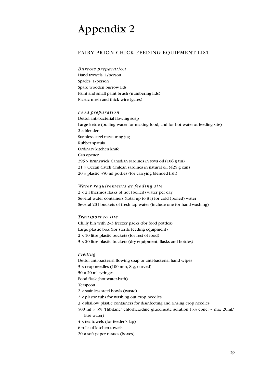### <span id="page-29-0"></span>FAIRY PRION CHICK FEEDING EQUIPMENT LIST

*Burrow preparation*  Hand trowels: 1/person Spades: 1/person Spare wooden burrow lids Paint and small paint brush (numbering lids) Plastic mesh and thick wire (gates)

#### *Food preparation*

Dettol anti-bacterial flowing soap Large kettle (boiling water for making food, and for hot water at feeding site) 2 × blender Stainless steel measuring jug Rubber spatula Ordinary kitchen knife Can opener 295 × Brunswick Canadian sardines in soya oil (106 g tin) 21 × Ocean Catch Chilean sardines in natural oil (425 g can) 20 × plastic 350 ml pottles (for carrying blended fish)

#### *Water requirements at feeding site*

 $2 \times 21$  thermos flasks of hot (boiled) water per day Several water containers (total up to 8 l) for cold (boiled) water Several 20 l buckets of fresh tap water (include one for hand-washing)

#### *Transport to site*

Chilly bin with 2–3 freezer packs (for food pottles) Large plastic box (for sterile feeding equipment)  $2 \times 10$  litre plastic buckets (for rest of food) 3 × 20 litre plastic buckets (dry equipment, flasks and bottles)

#### *Feeding*

Dettol anti-bacterial flowing soap or anti-bacterial hand wipes  $3 \times$  crop needles (100 mm, 8 g, curved)  $50 \times 20$  ml syringes Food flask (hot water-bath) Teaspoon 2 × stainless steel bowls (waste) 2 × plastic tubs for washing out crop needles 3 × shallow plastic containers for disinfecting and rinsing crop needles 500 ml × 5% 'Hibitane' chlorhexidine gluconuate solution (5% conc. – mix 20ml/ litre water)  $4 \times$  tea towels (for feeder's lap) 6 rolls of kitchen towels  $20 \times$  soft paper tissues (boxes)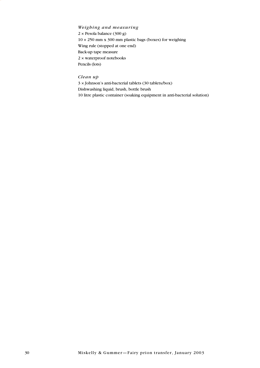*Weighing and measuring*  2 × Pesola balance (300 g) 10 × 250 mm x 300 mm plastic bags (boxes) for weighing Wing rule (stopped at one end) Back-up tape measure 2 × waterproof notebooks Pencils (lots)

*Clean up* 

3 × Johnson's anti-bacterial tablets (30 tablets/box) Dishwashing liquid, brush, bottle brush 10 litre plastic container (soaking equipment in anti-bacterial solution)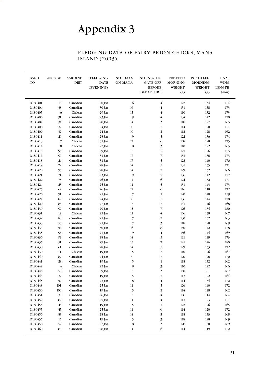## FLEDGING DATA OF FAIRY PRION CHICKS, MANA ISLAND (2003)

<span id="page-31-0"></span>

| <b>BAND</b><br>NO. | <b>BURROW</b>                | <b>SARDINE</b><br><b>DIET</b> | <b>FLEDGING</b><br><b>DATE</b><br>(EVENING) | NO. DAYS<br>ON MANA      | NO. NIGHTS<br><b>GATE OFF</b><br><b>BEFORE</b><br><b>DEPARTURE</b> | PRE-FEED<br><b>MORNING</b><br>WEIGHT<br>(g) | POST-FEED<br><b>MORNING</b><br>WEIGHT<br>(g) | <b>FINAL</b><br><b>WING</b><br><b>LENGTH</b><br>(mm) |
|--------------------|------------------------------|-------------------------------|---------------------------------------------|--------------------------|--------------------------------------------------------------------|---------------------------------------------|----------------------------------------------|------------------------------------------------------|
| D180401            | 18                           | Canadian                      | 20 Jan                                      | 6                        | $\overline{4}$                                                     | 122                                         | 134                                          | 174                                                  |
| D180404            | 38                           | Canadian                      | 30 Jan                                      | 16                       | $\overline{4}$                                                     | 151                                         | 158                                          | 173                                                  |
| D180405            | 6                            | Chilean                       | 29 Jan                                      | 15                       | $\overline{4}$                                                     | 110                                         | 132                                          | 173                                                  |
| D180406            | 31                           | Canadian                      | 23 Jan                                      | 9                        | $\overline{\mathbf{4}}$                                            | 134                                         | 142                                          | 170                                                  |
| D180407            | 34                           | Canadian                      | 28 Jan                                      | 14                       | 3                                                                  | 118                                         | 127                                          | 165                                                  |
| D180408            | 37                           | Canadian                      | 24 Jan                                      | 10                       | 5                                                                  | 114                                         | 120                                          | 171                                                  |
| D180409            | 32                           | Canadian                      | 24 Jan                                      | 10                       | $\overline{2}$                                                     | 112                                         | 128                                          | 162                                                  |
| D180411            | 20                           | Canadian                      | 23 Jan                                      | 9                        | 5                                                                  | 122                                         | 136                                          | 174                                                  |
| D180413            | $\overline{7}$               | Chilean                       | 31 Jan                                      | 17                       | 6                                                                  | 108                                         | 128                                          | 175                                                  |
| D180414            | $\bf 8$                      | Chilean                       | 22 Jan                                      | 8                        | $\overline{\mathbf{3}}$                                            | 110                                         | $122\,$                                      | 165                                                  |
| D180415            | 93                           | Canadian                      | 29 Jan                                      | 15                       | $\overline{7}$                                                     | 121                                         | 126                                          | 175                                                  |
| D180416            | 90                           | Canadian                      | 31 Jan                                      | 17                       | $\overline{7}$                                                     | 133                                         | 138                                          | 173                                                  |
| D180418            | 24                           | Canadian                      | 31 Jan                                      | 17                       | 5                                                                  | 128                                         | 140                                          | 176                                                  |
| D180419            | 22                           | Canadian                      | 28 Jan                                      | 14                       | 5                                                                  | 131                                         | 135                                          | 171                                                  |
| D180420            | 95                           | Canadian                      | 28 Jan                                      | 14                       | $\overline{c}$                                                     | 129                                         | 132                                          | 166                                                  |
| D180421            | 21                           | Canadian                      | 23 Jan                                      | 9                        | $\overline{7}$                                                     | 136                                         | 142                                          | 177                                                  |
| D180422            | $73$                         | Canadian                      | 26 Jan                                      | 12                       | 6                                                                  | 124                                         | 132                                          | 171                                                  |
| D180424            | 23                           | Canadian                      | 25 Jan                                      | 11                       | 5                                                                  | 131                                         | 143                                          | 173                                                  |
| D180425            | 62                           | Canadian                      | 26 Jan                                      | 12                       | 6                                                                  | 116                                         | 118                                          | 172                                                  |
| D180426            | 91                           | Canadian                      | 21 Jan                                      | $\overline{7}$           | $\mathbf{1}$                                                       | 120                                         | 140                                          | 159                                                  |
| D180427            | 89                           | Canadian                      | 24 Jan                                      | 10                       | 5                                                                  | 136                                         | 144                                          | 170                                                  |
| D180429            | 86                           | Canadian                      | 27 Jan                                      | 13                       | $\overline{\mathbf{3}}$                                            | 141                                         | 146                                          | 168                                                  |
| D180430            | 99                           | Canadian                      | 29 Jan                                      | 15                       | 7                                                                  | 126                                         | 134                                          | 180                                                  |
| D180431            | 12                           | Chilean                       | 25 Jan                                      | 11                       | $\overline{\mathbf{4}}$                                            | 106                                         | 138                                          | 167                                                  |
| D180432            | 88                           | Canadian                      | 21 Jan                                      | $\overline{\phantom{a}}$ | $\overline{2}$                                                     | 130                                         | 152                                          | 163                                                  |
| D180433            | 53                           | Canadian                      | 21 Jan                                      | $\overline{7}$           | 3                                                                  | 118                                         | 120                                          | 169                                                  |
| D180434            | 54                           | Canadian                      | 30 Jan                                      | 16                       | 8                                                                  | 130                                         | 142                                          | 178                                                  |
| D180435            | ${\boldsymbol{\mathcal{R}}}$ | Canadian                      | 23 Jan                                      | 9                        | $\overline{\mathbf{4}}$                                            | 136                                         | 144                                          | 169                                                  |
| D180436            | 92                           | Canadian                      | 28 Jan                                      | 14                       | 5                                                                  | 121                                         | 129                                          | 173                                                  |
| D180437            | 51                           | Canadian                      | 29 Jan                                      | 15                       | $\overline{7}$                                                     | 141                                         | 146                                          | 180                                                  |
| D180438            | 61                           | Canadian                      | 28 Jan                                      | 14                       | 5                                                                  | 129                                         | 133                                          | 172                                                  |
| D180439            | 11                           | Chilean                       | 19 Jan                                      | 5                        | 3                                                                  | 110                                         | 126                                          | 167                                                  |
| D180440            | 87                           | Canadian                      | 24 Jan                                      | $10\,$                   | 3                                                                  | 120                                         | 128                                          | 170                                                  |
| D180441            | 28                           | Canadian                      | 19 Jan                                      | 5                        | $\mathbf{1}$                                                       | 118                                         | 132                                          | 162                                                  |
| D180442            | $\overline{4}$               | Chilean                       | 22 Jan                                      | $\,$ 8 $\,$              | 3                                                                  | 110                                         | 122                                          | 166                                                  |
| D180443            | 56                           | Canadian                      | 29 Jan                                      | 15                       | $\mathfrak{z}$                                                     | 150                                         | 161                                          | 167                                                  |
| D180444            | $27\,$                       | Canadian                      | 19 Jan                                      | 5                        | $\overline{\mathbf{c}}$                                            | 112                                         | $122\,$                                      | 164                                                  |
| D180445            | 52                           | Canadian                      | 22 Jan                                      | 8                        | $\overline{\mathbf{4}}$                                            | 114                                         | 134                                          | $172\,$                                              |
| D180448            | 101                          | Canadian                      | 25 Jan                                      | $11\phantom{.0}$         | 5                                                                  | 126                                         | 140                                          | $172\,$                                              |
| D180450            | 100                          | Canadian                      | 19 Jan                                      | 5                        | $\boldsymbol{2}$                                                   | 114                                         | 128                                          | 162                                                  |
| D180451            | 39                           | Canadian                      | 26 Jan                                      | $12\,$                   | $\overline{\mathbf{4}}$                                            | 106                                         | 114                                          | 164                                                  |
| D180452            | $82\,$                       | Canadian                      | 25 Jan                                      | 11                       | $\overline{\mathbf{4}}$                                            | 113                                         | 123                                          | 171                                                  |
| D180453            | 46                           | Canadian                      | 19 Jan                                      | 5                        | $\overline{\mathbf{c}}$                                            | 122                                         | 126                                          | 165                                                  |
| D180455            | 45                           | Canadian                      | 25 Jan                                      | 11                       | 6                                                                  | 114                                         | 120                                          | $172\,$                                              |
| D180456            | 83                           | Canadian                      | 28 Jan                                      | 14                       | 3                                                                  | 118                                         | 133                                          | 168                                                  |
| D180457            | $17\text{ }$                 | Canadian                      | 19 Jan                                      | 5                        | 3                                                                  | 118                                         | 128                                          | 169                                                  |
| D180458            | 57                           | Canadian                      | 22 Jan                                      | $\bf8$                   | 3                                                                  | 128                                         | 150                                          | 169                                                  |
| D180460            | $80\,$                       | Canadian                      | 28 Jan                                      | 14                       | 6                                                                  | 114                                         | 119                                          | 172                                                  |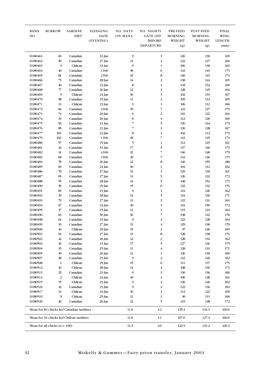| <b>BAND</b><br>NO.  | <b>BURROW</b>                   | <b>SARDINE</b><br><b>DIET</b>            | <b>FLEDGING</b><br><b>DATE</b> | NO. DAYS<br>ON MANA | NO. NIGHTS<br><b>GATE OFF</b> | <b>PRE-FEED</b><br><b>MORNING</b> | POST-FEED<br><b>MORNING</b> | <b>FINAL</b><br>WING |
|---------------------|---------------------------------|------------------------------------------|--------------------------------|---------------------|-------------------------------|-----------------------------------|-----------------------------|----------------------|
|                     |                                 |                                          | (EVENING)                      |                     | <b>BEFORE</b>                 | WEIGHT                            | WEIGHT                      | <b>LENGTH</b>        |
|                     |                                 |                                          |                                |                     | <b>DEPARTURE</b>              | (g)                               | (g)                         | (mm)                 |
| D180461             | 60                              | Canadian                                 | 23 Jan                         | 9                   | 3                             | 126                               | 130                         | 165                  |
| D180462             | 50                              | Canadian                                 | 27 Jan                         | 13                  | $\bf{4}$                      | 122                               | 127                         | 166                  |
| D180463             | 3                               | Chilean                                  | 23 Jan                         | 9                   | $\mathbf{1}$                  | 106                               | 130                         | 163                  |
| D180464             | 40                              | Canadian                                 | 1 Feb                          | 18                  | 6                             | 142                               | 144                         | 173                  |
| D180465             | 81                              | Canadian                                 | 2 Feb                          | 19                  | 8                             | 140                               | 143                         | 174                  |
| D180466             | 75                              | Canadian                                 | 28 Jan                         | 14                  | $\overline{2}$                | 138                               | 144                         | 165                  |
| D <sub>180467</sub> | 49                              | Canadian                                 | 22 Jan                         | 8                   | $\bf{4}$                      | 118                               | 132                         | 169                  |
| D180468             | 77                              | Canadian                                 | 26 Jan                         | $12\,$              | 3                             | 128                               | 145                         | 164                  |
| D180469             | 5<br>58                         | Chilean                                  | 24 Jan                         | $10\,$              | 3                             | 102<br>105                        | 133                         | 167<br>165           |
| D180470<br>D180471  | 13                              | Canadian<br>Chilean                      | 25 Jan                         | 11<br>9             | 3<br>$\mathbf{1}$             | 106                               | 114<br>112                  | 160                  |
| D180472             | 84                              | Canadian                                 | 23 Jan<br>2 Feb                | 19                  | $\overline{7}$                | 122                               | 127                         | 175                  |
| D180473             | 74                              | Canadian                                 | 20 Jan                         | 6                   | $\overline{c}$                | 110                               | 122                         | 164                  |
| D180474             | 19                              | Canadian                                 | 20 Jan                         | 6                   | $\bf{4}$                      | 112                               | 126                         | 169                  |
| D180475             | 96                              | Canadian                                 | 21 Jan                         | 7                   | 5                             | 130                               | 144                         | 173                  |
| D180476             | 85                              | Canadian                                 | 21 Jan                         | $\overline{7}$      | 3                             | 120                               | 128                         | 167                  |
| D180477             | 103                             | Canadian                                 | 22 Jan                         | 8                   | $\overline{4}$                | 102                               | 112                         | 173                  |
| D180479             | 102                             | Canadian                                 | 1 Feb                          | 18                  | $\overline{7}$                | 143                               | 145                         | 174                  |
| D180480             | 97                              | Canadian                                 | 19 Jan                         | 5                   | $\mathbf{1}$                  | 112                               | 123                         | 161                  |
| D180481             | 42                              | Canadian                                 | 31 Jan                         | 17                  | 5                             | 137                               | 146                         | 173                  |
| D180482             | $41\,$                          | Canadian                                 | 4 Feb                          | 21                  | 7                             | 146                               | 148                         | 179                  |
| D180483             | 68                              | Canadian                                 | 3 Feb                          | 20                  | $\overline{7}$                | 132                               | 136                         | 173                  |
| D180484             | 78                              | Canadian                                 | 26 Jan                         | 12                  | 8                             | 140                               | 155                         | 180                  |
| D180485             | 66                              | Canadian                                 | 24 Jan                         | $10\,$              | $\mathbf{1}$                  | 104                               | 112                         | 162                  |
| D180486             | 76                              | Canadian                                 | 27 Jan                         | 13                  | $\mathbf{1}$                  | 129                               | 139                         | 161                  |
| D180487             | 65                              | Canadian                                 | 27 Jan                         | 13                  | 5                             | 126                               | 132                         | 172                  |
| D180488             | 55                              | Canadian                                 | 28 Jan                         | 14                  | 5                             | 148                               | 152                         | 173                  |
| D180490             | 59                              | Canadian                                 | 29 Jan                         | 15                  | 6                             | 122                               | 132                         | 176                  |
| D180491             | 69                              | Canadian                                 | 23 Jan                         | 9                   | $\mathbf{1}$                  | 124                               | 126                         | 162                  |
| D180492             | 29                              | Canadian                                 | 28 Jan                         | 14                  | 5                             | 124                               | 130                         | $171\,$              |
| D180493             | 79                              | Canadian                                 | 27 Jan                         | 13                  | $\overline{c}$                | 122                               | 131                         | 163                  |
| D180494<br>D180495  | 67<br>47                        | Canadian<br>Canadian                     | 24 Jan                         | $10\,$              | 3                             | 134                               | 150<br>124                  | 172<br>164           |
| D180496             | 63                              | Canadian                                 | 25 Jan                         | 11<br>16            | 3<br>7                        | 115<br>138                        | 142                         | 178                  |
| D180498             | 64                              | Canadian                                 | 30 Jan<br>23 Jan               | 9                   | $\overline{\mathbf{4}}$       | 122                               | 128                         | 164                  |
| D180499             | 33                              | Canadian                                 | 27 Jan                         | 13                  | 4                             | 129                               | 138                         | 170                  |
| D180500             | 16                              | Chilean                                  | 29 Jan                         | 15                  | 2                             | 97                                | 126                         | 165                  |
| D180501             | 94                              | Canadian                                 | 27 Jan                         | 13                  | 8                             | 128                               | 138                         | 176                  |
| D180502             | 44                              | Canadian                                 | 26 Jan                         | $12\,$              | 2                             | 128                               | 134                         | 162                  |
| D180503             | 36                              | Canadian                                 | 31 Jan                         | $17\,$              | 5                             | 127                               | 136                         | 175                  |
| D180504             | 35                              | Canadian                                 | 25 Jan                         | $11\,$              | $\bf{4}$                      | 128                               | 133                         | 171                  |
| D180505             | 30                              | Canadian                                 | 26 Jan                         | 12                  | $\mathbf{1}$                  | 120                               | 130                         | 160                  |
| D180507             | 48                              | Canadian                                 | 23 Jan                         | 9                   | $\overline{c}$                | 132                               | 140                         | 162                  |
| D180508             | $\mathbf{1}$                    | Chilean                                  | 29 Jan                         | 15                  | 6                             | 111                               | 137                         | 175                  |
| D180512             | 10                              | Chilean                                  | 28 Jan                         | 14                  | 4                             | 108                               | 130                         | 171                  |
| D180513             | 25                              | Canadian                                 | 23 Jan                         | 9                   | 3                             | 130                               | 136                         | 166                  |
| D180514             | $\overline{c}$                  | Chilean                                  | 24 Jan                         | $10\,$              | 3                             | 100                               | 128                         | 161                  |
| D180515             | 15                              | Chilean                                  | 23 Jan                         | 9                   | $\overline{\mathbf{c}}$       | 120                               | 140                         | 162                  |
| D180516             | 43                              | Canadian                                 | 23 Jan                         | 9                   | $\overline{c}$                | 122                               | 136                         | 163                  |
| D180517             | 14                              | Chilean                                  | 24 Jan                         | $10\,$              | 3                             | 112                               | 122                         | 169                  |
| D180519<br>D180520  | 9<br>26                         | Chilean<br>Canadian                      | 25 Jan                         | 11<br>$12\,$        | $\mathbf{1}$<br>5             | 96                                | 113                         | 160                  |
|                     |                                 | Mean for 84 chicks fed Canadian sardines | 26 Jan                         | 11.6                | 4.2                           | 119<br>125.4                      | 128                         | 172<br>169.6         |
|                     |                                 | Mean for 16 chicks fed Chilean sardines  |                                | 11.0                | 3.1                           | 107.0                             | 134.3<br>127.4              | 166.6                |
|                     | Mean for all chicks $(n = 100)$ |                                          |                                | 11.5                | $4.0\,$                       | 122.5                             | 133.2                       | 169.2                |
|                     |                                 |                                          |                                |                     |                               |                                   |                             |                      |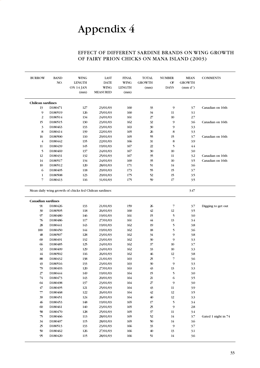### EFFECT OF DIFFERENT SARDINE BRANDS ON WING GROWTH OF FAIRY PRION CHICKS ON MANA ISLAND (2003)

<span id="page-33-0"></span>

| <b>BURROW</b>            | <b>BAND</b><br>NO. | <b>WING</b><br><b>LENGTH</b><br>ON 14 JAN<br>(mm)      | <b>LAST</b><br><b>DATE</b><br><b>WING</b><br><b>MEASURED</b> | <b>FINAL</b><br><b>WING</b><br><b>LENGTH</b><br>(mm) | <b>TOTAL</b><br><b>GROWTH</b><br>(mm) | <b>NUMBER</b><br>OF<br><b>DAYS</b> | <b>MEAN</b><br><b>GROWTH</b><br>$mm d-1$ | <b>COMMENTS</b>     |
|--------------------------|--------------------|--------------------------------------------------------|--------------------------------------------------------------|------------------------------------------------------|---------------------------------------|------------------------------------|------------------------------------------|---------------------|
| <b>Chilean sardines</b>  |                    |                                                        |                                                              |                                                      |                                       |                                    |                                          |                     |
| 13                       | D180471            | 127                                                    | 23/01/03                                                     | 160                                                  | 33                                    | 9                                  | 3.7                                      | Canadian on 16th    |
| 9                        | D180519            | 126                                                    | 25/01/03                                                     | 160                                                  | 34                                    | 11                                 | 3.1                                      |                     |
| $\overline{2}$           | D180514            | 134                                                    | 24/01/03                                                     | 161                                                  | 27                                    | 10                                 | 2.7                                      |                     |
| 15                       | D180515            | 130                                                    | 23/01/03                                                     | 162                                                  | 32                                    | 9                                  | 3.6                                      | Canadian on 16th    |
| 3                        | D180463            | 133                                                    | 23/01/03                                                     | 163                                                  | 30                                    | 9                                  | 3.3                                      |                     |
| 8                        | D180414            | 139                                                    | 22/01/03                                                     | 165                                                  | 26                                    | $\bf 8$                            | 33                                       |                     |
| 16                       | D180500            | 110                                                    | 29/01/03                                                     | 165                                                  | 55                                    | 15                                 | 3.7                                      | Canadian on 16th    |
| $\overline{4}$           | D180442            | 135                                                    | 22/01/03                                                     | 166                                                  | 31                                    | $\bf 8$                            | 3.9                                      |                     |
| 11                       | D180439            | 145                                                    | 19/01/03                                                     | 167                                                  | 22                                    | 5                                  | 4.4                                      |                     |
| 5                        | D180469            | 137                                                    | 24/01/03                                                     | 167                                                  | 30                                    | 10                                 | 3.0                                      |                     |
| 12                       | D180431            | 132                                                    | 25/01/03                                                     | 167                                                  | 35                                    | 11                                 | 3.2                                      | Canadian on 16th    |
| 14                       | D180517            | 134                                                    | 24/01/03                                                     | 169                                                  | 35                                    | $10\,$                             | 3.5                                      | Canadian on 16th    |
| 10                       | D180512            | 120                                                    | 28/01/03                                                     | 171                                                  | 51                                    | 14                                 | 3.6                                      |                     |
| 6                        | D180405            | 118                                                    | 29/01/03                                                     | 173                                                  | 55                                    | 15                                 | 3.7                                      |                     |
| $\mathbf{1}$             | D180508            | 123                                                    | 29/01/03                                                     | 175                                                  | 52                                    | 15                                 | 3.5                                      |                     |
| 7                        | D180413            | 116                                                    | 31/01/03                                                     | 175                                                  | 59                                    | 17                                 | 3.5                                      |                     |
| <b>Canadian sardines</b> |                    | Mean daily wing growth of chicks fed Chilean sardines: |                                                              |                                                      |                                       |                                    | 3.47                                     |                     |
| 91                       | D180426            | 133                                                    | 21/01/03                                                     | 159                                                  | 26                                    | $\overline{7}$                     | 3.7                                      | Digging to get out  |
| 30                       | D180505            | 118                                                    | 26/01/03                                                     | 160                                                  | 42                                    | 12                                 | 3.5                                      |                     |
| 97                       | D180480            | 146                                                    | 19/01/03                                                     | 161                                                  | 15                                    | 5                                  | 3.0                                      |                     |
| 76                       | D180486            | 117                                                    | 27/01/03                                                     | 161                                                  | $44\,$                                | 13                                 | 3.4                                      |                     |
| 28                       | D180441            | 143                                                    | 19/01/03                                                     | 162                                                  | 19                                    | 5                                  | 3.8                                      |                     |
| 100                      | D180450            | 144                                                    | 19/01/03                                                     | 162                                                  | 18                                    | 5                                  | 3.6                                      |                     |
| 48                       | D180507            | 128                                                    | 23/01/03                                                     | 162                                                  | 34                                    | 9                                  | 3.8                                      |                     |
| $\omega$                 | D180491            | 132                                                    | 23/01/03                                                     | 162                                                  | 30                                    | 9                                  | 3.3                                      |                     |
| 66                       | D180485            | 125                                                    | 24/01/03                                                     | 162                                                  | 37                                    |                                    |                                          |                     |
| 32                       | D180409            |                                                        |                                                              |                                                      |                                       | 10                                 |                                          |                     |
| 44                       |                    | 129                                                    | 24/01/03                                                     | 162                                                  | 33                                    | 10                                 | 3.7<br>3.3                               |                     |
| 88                       | D180502            | 116                                                    | 26/01/03                                                     | 162                                                  | 46                                    | 12                                 | 3.8                                      |                     |
| 43                       | D180432            | 138                                                    | 21/01/03                                                     | 163                                                  | 25                                    | 7                                  | 3.6                                      |                     |
| 79                       | D180516            | 133                                                    | 23/01/03                                                     | 163                                                  | 30                                    | 9                                  | 3.3                                      |                     |
| $27\,$                   | D180493            | 120                                                    | 27/01/03                                                     | 163                                                  |                                       |                                    |                                          |                     |
|                          | D180444            | 149                                                    | 19/01/03                                                     | 164                                                  | 43<br>15                              | 13<br>5                            | 3.3<br>3.0                               |                     |
| $74$                     | D180473            | 143                                                    | 20/01/03                                                     | $164$                                                | 21                                    | 6                                  | 3.5                                      |                     |
| 64                       | D180498            | 137                                                    | 23/01/03                                                     | 164                                                  | $2\!$                                 | 9                                  | 3.0                                      |                     |
| $47\,$                   | D180495            | 121                                                    | 25/01/03                                                     | 164                                                  | 43                                    | $11\,$                             | 3.9                                      |                     |
| $77\,$                   | D180468            | $122\,$                                                | 26/01/03                                                     | $164$                                                | 42                                    | $12\,$                             | 3.5                                      |                     |
| 39                       | D180451            | $124\,$                                                | 26/01/03                                                     | $164$                                                | $40\,$                                | $12\,$                             | 33                                       |                     |
| 46                       | D180453            | 148                                                    | 19/01/03                                                     | 165                                                  | $17\,$                                | 5                                  | 3.4                                      |                     |
| 60                       | D180461            | 140                                                    | 23/01/03                                                     | 165                                                  | $25\,$                                | 9                                  | $2.8\,$                                  |                     |
| ${\bf 58}$               | D180470            | 128                                                    | 25/01/03                                                     | 165                                                  | 37                                    | $11\,$                             | 3.4                                      |                     |
| 75                       | D180466            | 113                                                    | 28/01/03                                                     | 165                                                  | 52                                    | 14                                 | 3.7                                      | Gated 1 night in 74 |
| 34                       | D180407            | 115                                                    | 28/01/03                                                     | 165                                                  | 50                                    | 14                                 | 3.6                                      |                     |
| 25                       | D180513            | 133                                                    | 23/01/03                                                     | 166                                                  | 33                                    | $\overline{9}$                     | 3.7                                      |                     |
| $50\,$                   | D180462            | 126                                                    | 27/01/03                                                     | 166                                                  | $40\,$                                | 13                                 | 3.1                                      |                     |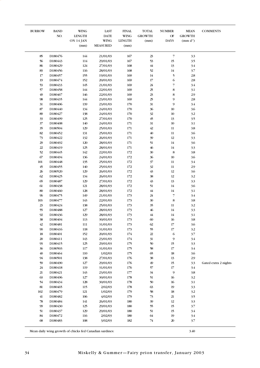| <b>BURROW</b> | <b>BAND</b><br>NO.  | <b>WING</b><br><b>LENGTH</b><br>ON 14 JAN | LAST<br><b>DATE</b><br><b>WING</b> | <b>FINAL</b><br><b>WING</b><br><b>LENGTH</b> | <b>TOTAL</b><br><b>GROWTH</b><br>(mm) | <b>NUMBER</b><br>OF<br><b>DAYS</b> | <b>MEAN</b><br><b>GROWTH</b><br>$mm\ d^1$ | <b>COMMENTS</b>      |
|---------------|---------------------|-------------------------------------------|------------------------------------|----------------------------------------------|---------------------------------------|------------------------------------|-------------------------------------------|----------------------|
|               |                     | (mm)                                      | <b>MEASURED</b>                    | (mm)                                         |                                       |                                    |                                           |                      |
| 85            | D180476             | $144$                                     | 21/01/03                           | 167                                          | $23\,$                                | $\overline{7}$                     | 3.3                                       |                      |
| 56            | D180443             | 114                                       | 29/01/03                           | 167                                          | 53                                    | $15\,$                             | 3.5                                       |                      |
| 86            | D180429             | 124                                       | 27/01/03                           | 168                                          | $44\,$                                | 13                                 | 3.4                                       |                      |
| 83            | D <sub>180456</sub> | 116                                       | 28/01/03                           | 168                                          | $52\,$                                | 14                                 | 3.7                                       |                      |
| 17            | D180457             | 155                                       | 19/01/03<br>20/01/03               | 169                                          | $14\,$                                | 5<br>6                             | 2.8<br>2.8                                |                      |
| 19<br>53      | D180474<br>D180433  | 152<br>145                                | 21/01/03                           | 169<br>169                                   | $17\,$<br>$24\,$                      | $\overline{\phantom{a}}$           | 3.4                                       |                      |
| 57            | D180458             | 144                                       | 22/01/03                           | 169                                          | 25                                    | 8                                  | 3.1                                       |                      |
| 49            | D <sub>180467</sub> | 146                                       | 22/01/03                           | 169                                          | $23\,$                                | 8                                  | 2.9                                       |                      |
| $98\,$        | D180435             | 144                                       | 23/01/03                           | 169                                          | 25                                    | 9                                  | 2.8                                       |                      |
| 31            | D180406             | 139                                       | 23/01/03                           | 170                                          | 31                                    | 9                                  | 3.4                                       |                      |
| $8\!7$        | D180440             | 134                                       | 24/01/03                           | $170\,$                                      | 36                                    | $10\,$                             | 3.6                                       |                      |
| 89            | D180427             | 138                                       | 24/01/03                           | 170                                          | 32                                    | $10\,$                             | 3.2                                       |                      |
| 33            | D180499             | 125                                       | 27/01/03                           | 170                                          | $45$                                  | 13                                 | 3.5                                       |                      |
| 37            | D180408             | 140                                       | 24/01/03                           | 171                                          | 31                                    | $10\,$                             | 3.1                                       |                      |
| 35            | D180504             | 129                                       | 25/01/03                           | 171                                          | 42                                    | 11                                 | 3.8                                       |                      |
| 82            | D180452             | 131                                       | 25/01/03                           | 171                                          | $40\,$                                | 11                                 | 3.6                                       |                      |
| $73\,$        | D180422             | 132                                       | 26/01/03                           | $171\,$                                      | 39                                    | 12                                 | 3.3                                       |                      |
| 29<br>22      | D180492             | 120                                       | 28/01/03                           | $171\,$<br>171                               | 51<br>$46$                            | 14<br>14                           | 3.6                                       |                      |
| $52\,$        | D180419<br>D180445  | 125<br>142                                | 28/01/03<br>22/01/03               | 172                                          | 30                                    | 8                                  | 3.3<br>3.8                                |                      |
| 67            | D180494             | 136                                       | 24/01/03                           | 172                                          | 36                                    | $10\,$                             | 3.6                                       |                      |
| $101\,$       | D180448             | 135                                       | 25/01/03                           | 172                                          | 37                                    | 11                                 | 3.4                                       |                      |
| $45$          | D180455             | 140                                       | 25/01/03                           | $172\,$                                      | 32                                    | $11\,$                             | 2.9                                       |                      |
| 26            | D180520             | 129                                       | 26/01/03                           | 172                                          | $43\,$                                | 12                                 | 3.6                                       |                      |
| 62            | D180425             | 134                                       | 26/01/03                           | 172                                          | 38                                    | 12                                 | 3.2                                       |                      |
| 65            | D180487             | 129                                       | 27/01/03                           | $172\,$                                      | $43\,$                                | 13                                 | 3.3                                       |                      |
| 61            | D180438             | $121\,$                                   | 28/01/03                           | 172                                          | 51                                    | 14                                 | 3.6                                       |                      |
| $80\,$        | D180460             | 128                                       | 28/01/03                           | 172                                          | $\sqrt{44}$                           | 14                                 | 3.1                                       |                      |
| 96            | D180475             | 149                                       | 21/01/03                           | 173                                          | $24\,$                                | $\overline{7}$                     | 3.4                                       |                      |
| 103           | D180477             | 143                                       | 22/01/03                           | 173                                          | 30                                    | $\,$ 8 $\,$                        | 3.8                                       |                      |
| 23            | D180424             | 138                                       | 25/01/03                           | 173                                          | 35                                    | $11\,$                             | 3.2                                       |                      |
| 55            | D180488             | 127                                       | 28/01/03                           | 173                                          | 46                                    | 14                                 | 33                                        |                      |
| $92\,$        | D180436             | 129                                       | 28/01/03                           | 173                                          | $44\,$                                | 14                                 | 3.1                                       |                      |
| 38            | D180404             | 113                                       | 30/01/03<br>31/01/03               | 173                                          | $60\,$                                | 16                                 | 3.8                                       |                      |
| $42\,$<br>90  | D180481<br>D180416  | 111<br>118                                | 31/01/03                           | 173<br>173                                   | 62<br>55                              | $17$<br>$17\,$                     | 3.6<br>3.2                                |                      |
| 18            | D180401             | 152                                       | 20/01/03                           | 174                                          | 22                                    | 6                                  | 3.7                                       |                      |
| $20\,$        | D180411             | 143                                       | 23/01/03                           | 174                                          | 31                                    | 9                                  | 3.4                                       |                      |
| $93$          | D180415             | 125                                       | 29/01/03                           | 175                                          | 50                                    | 15                                 | 3.3                                       |                      |
| 36            | D180503             | 117                                       | 31/01/03                           | 175                                          | 58                                    | 17                                 | 3.4                                       |                      |
| $40\,$        | D180464             | 110                                       | 1/02/03                            | 175                                          | 65                                    | 18                                 | 3.6                                       |                      |
| 94            | D180501             | 138                                       | 27/01/03                           | 176                                          | 38                                    | 13                                 | 2.9                                       |                      |
| 59            | D180490             | 127                                       | 29/01/03                           | 176                                          | 49                                    | 15                                 | 3.3                                       | Gated extra 2 nights |
| 24            | D180418             | 119                                       | 31/01/03                           | 176                                          | 57                                    | $17\,$                             | 3.4                                       |                      |
| 21            | D180421             | 143                                       | 23/01/03                           | $177$                                        | 34                                    | 9                                  | 3.8                                       |                      |
| 63            | D180496             | 127                                       | 30/01/03                           | 178                                          | 51                                    | 16                                 | 3.2                                       |                      |
| 54            | D180434             | 128                                       | 30/01/03                           | 178                                          | 50                                    | 16                                 | 3.1                                       |                      |
| $81\,$        | D180465             | 115                                       | 2/02/03                            | 178                                          | 63                                    | 19                                 | 3.3                                       |                      |
| 102           | D180479             | 121                                       | 1/02/03                            | 179                                          | 58                                    | 18                                 | 3.2                                       |                      |
| 41<br>$7\!8$  | D180482<br>D180484  | 106<br>141                                | 4/02/03<br>26/01/03                | 179<br>180                                   | 73<br>39                              | 21<br>$12\,$                       | 3.5<br>3.3                                |                      |
| 99            | D180430             | 125                                       | 29/01/03                           | 180                                          | 55                                    | 15                                 | 3.7                                       |                      |
| 51            | D180437             | 129                                       | 29/01/03                           | 180                                          | 51                                    | 15                                 | 3.4                                       |                      |
| $8\!4$        | D180472             | 116                                       | 2/02/03                            | 180                                          | 64                                    | 19                                 | 3.4                                       |                      |
| 68            | D180483             | 108                                       | 3/02/03                            | 182                                          | 74                                    | 20                                 | 3.7                                       |                      |
|               |                     |                                           |                                    |                                              |                                       |                                    |                                           |                      |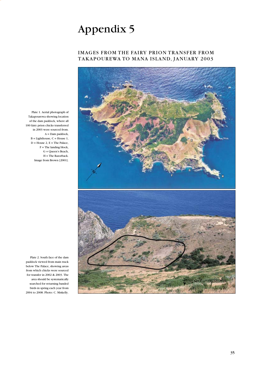### IMAGES FROM THE FAIRY PRION TRANSFER FROM TAKAPOUREWA TO MANA ISLAND, JANUARY 2003



Plate 1. Aerial photograph of Takapourewa showing location of the dam paddock, where all 100 fairy prion chicks transferred in 2003 were sourced from. A = Dam paddock,  $B =$  Lighthouse,  $C =$  House 1,  $D = House 2, E = The Palace,$  $F =$ The landing block, G = Queen's Beach, H = The Razorback. Image from Brown [2001].

Plate 2. South face of the dam paddock viewed from main track below The Palace, showing areas from which chicks were sourced for transfer in 2002 & 2003. The area should be systematically searched for returning banded birds in spring each year from 2004 to 2008. Photo: C. Miskelly.